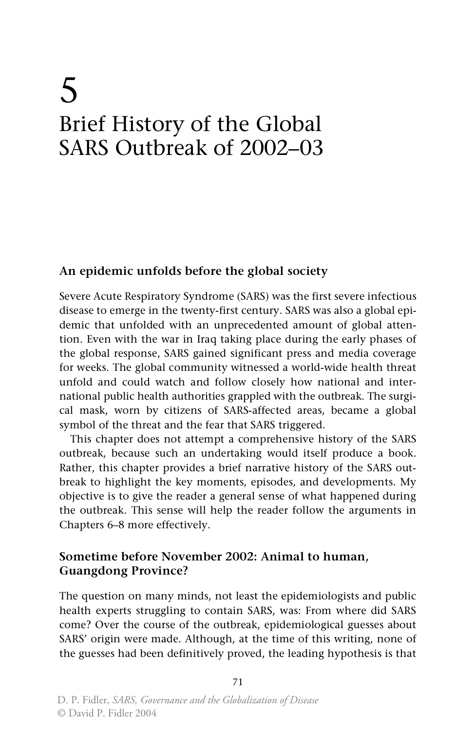# 5 Brief History of the Global SARS Outbreak of 2002–03

### **An epidemic unfolds before the global society**

Severe Acute Respiratory Syndrome (SARS) was the first severe infectious disease to emerge in the twenty-first century. SARS was also a global epidemic that unfolded with an unprecedented amount of global attention. Even with the war in Iraq taking place during the early phases of the global response, SARS gained significant press and media coverage for weeks. The global community witnessed a world-wide health threat unfold and could watch and follow closely how national and international public health authorities grappled with the outbreak. The surgical mask, worn by citizens of SARS-affected areas, became a global symbol of the threat and the fear that SARS triggered.

This chapter does not attempt a comprehensive history of the SARS outbreak, because such an undertaking would itself produce a book. Rather, this chapter provides a brief narrative history of the SARS outbreak to highlight the key moments, episodes, and developments. My objective is to give the reader a general sense of what happened during the outbreak. This sense will help the reader follow the arguments in Chapters 6–8 more effectively.

# **Sometime before November 2002: Animal to human, Guangdong Province?**

The question on many minds, not least the epidemiologists and public health experts struggling to contain SARS, was: From where did SARS come? Over the course of the outbreak, epidemiological guesses about SARS' origin were made. Although, at the time of this writing, none of the guesses had been definitively proved, the leading hypothesis is that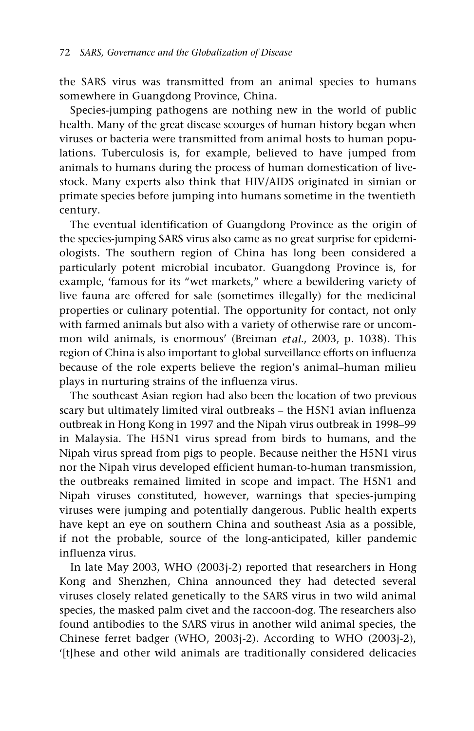the SARS virus was transmitted from an animal species to humans somewhere in Guangdong Province, China.

Species-jumping pathogens are nothing new in the world of public health. Many of the great disease scourges of human history began when viruses or bacteria were transmitted from animal hosts to human populations. Tuberculosis is, for example, believed to have jumped from animals to humans during the process of human domestication of livestock. Many experts also think that HIV/AIDS originated in simian or primate species before jumping into humans sometime in the twentieth century.

The eventual identification of Guangdong Province as the origin of the species-jumping SARS virus also came as no great surprise for epidemiologists. The southern region of China has long been considered a particularly potent microbial incubator. Guangdong Province is, for example, 'famous for its "wet markets," where a bewildering variety of live fauna are offered for sale (sometimes illegally) for the medicinal properties or culinary potential. The opportunity for contact, not only with farmed animals but also with a variety of otherwise rare or uncommon wild animals, is enormous' (Breiman *et al*., 2003, p. 1038). This region of China is also important to global surveillance efforts on influenza because of the role experts believe the region's animal–human milieu plays in nurturing strains of the influenza virus.

The southeast Asian region had also been the location of two previous scary but ultimately limited viral outbreaks – the H5N1 avian influenza outbreak in Hong Kong in 1997 and the Nipah virus outbreak in 1998–99 in Malaysia. The H5N1 virus spread from birds to humans, and the Nipah virus spread from pigs to people. Because neither the H5N1 virus nor the Nipah virus developed efficient human-to-human transmission, the outbreaks remained limited in scope and impact. The H5N1 and Nipah viruses constituted, however, warnings that species-jumping viruses were jumping and potentially dangerous. Public health experts have kept an eye on southern China and southeast Asia as a possible, if not the probable, source of the long-anticipated, killer pandemic influenza virus.

In late May 2003, WHO (2003j-2) reported that researchers in Hong Kong and Shenzhen, China announced they had detected several viruses closely related genetically to the SARS virus in two wild animal species, the masked palm civet and the raccoon-dog. The researchers also found antibodies to the SARS virus in another wild animal species, the Chinese ferret badger (WHO, 2003j-2). According to WHO (2003j-2), '[t]hese and other wild animals are traditionally considered delicacies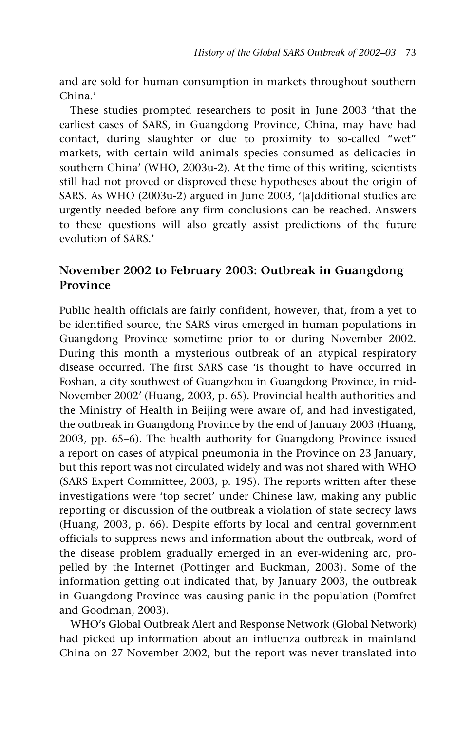and are sold for human consumption in markets throughout southern China.'

These studies prompted researchers to posit in June 2003 'that the earliest cases of SARS, in Guangdong Province, China, may have had contact, during slaughter or due to proximity to so-called "wet" markets, with certain wild animals species consumed as delicacies in southern China' (WHO, 2003u-2). At the time of this writing, scientists still had not proved or disproved these hypotheses about the origin of SARS. As WHO (2003u-2) argued in June 2003, '[a]dditional studies are urgently needed before any firm conclusions can be reached. Answers to these questions will also greatly assist predictions of the future evolution of SARS<sup>'</sup>

# **November 2002 to February 2003: Outbreak in Guangdong Province**

Public health officials are fairly confident, however, that, from a yet to be identified source, the SARS virus emerged in human populations in Guangdong Province sometime prior to or during November 2002. During this month a mysterious outbreak of an atypical respiratory disease occurred. The first SARS case 'is thought to have occurred in Foshan, a city southwest of Guangzhou in Guangdong Province, in mid-November 2002' (Huang, 2003, p. 65). Provincial health authorities and the Ministry of Health in Beijing were aware of, and had investigated, the outbreak in Guangdong Province by the end of January 2003 (Huang, 2003, pp. 65–6). The health authority for Guangdong Province issued a report on cases of atypical pneumonia in the Province on 23 January, but this report was not circulated widely and was not shared with WHO (SARS Expert Committee, 2003, p. 195). The reports written after these investigations were 'top secret' under Chinese law, making any public reporting or discussion of the outbreak a violation of state secrecy laws (Huang, 2003, p. 66). Despite efforts by local and central government officials to suppress news and information about the outbreak, word of the disease problem gradually emerged in an ever-widening arc, propelled by the Internet (Pottinger and Buckman, 2003). Some of the information getting out indicated that, by January 2003, the outbreak in Guangdong Province was causing panic in the population (Pomfret and Goodman, 2003).

WHO's Global Outbreak Alert and Response Network (Global Network) had picked up information about an influenza outbreak in mainland China on 27 November 2002, but the report was never translated into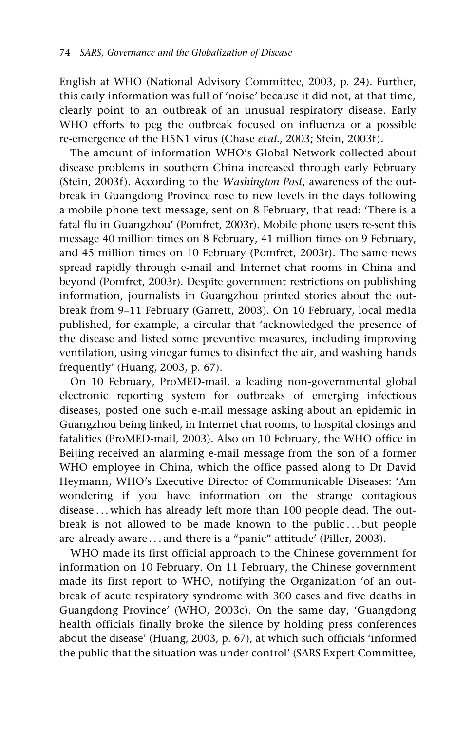English at WHO (National Advisory Committee, 2003, p. 24). Further, this early information was full of 'noise' because it did not, at that time, clearly point to an outbreak of an unusual respiratory disease. Early WHO efforts to peg the outbreak focused on influenza or a possible re-emergence of the H5N1 virus (Chase *et al*., 2003; Stein, 2003f).

The amount of information WHO's Global Network collected about disease problems in southern China increased through early February (Stein, 2003f). According to the *Washington Post*, awareness of the outbreak in Guangdong Province rose to new levels in the days following a mobile phone text message, sent on 8 February, that read: 'There is a fatal flu in Guangzhou' (Pomfret, 2003r). Mobile phone users re-sent this message 40 million times on 8 February, 41 million times on 9 February, and 45 million times on 10 February (Pomfret, 2003r). The same news spread rapidly through e-mail and Internet chat rooms in China and beyond (Pomfret, 2003r). Despite government restrictions on publishing information, journalists in Guangzhou printed stories about the outbreak from 9–11 February (Garrett, 2003). On 10 February, local media published, for example, a circular that 'acknowledged the presence of the disease and listed some preventive measures, including improving ventilation, using vinegar fumes to disinfect the air, and washing hands frequently' (Huang, 2003, p. 67).

On 10 February, ProMED-mail, a leading non-governmental global electronic reporting system for outbreaks of emerging infectious diseases, posted one such e-mail message asking about an epidemic in Guangzhou being linked, in Internet chat rooms, to hospital closings and fatalities (ProMED-mail, 2003). Also on 10 February, the WHO office in Beijing received an alarming e-mail message from the son of a former WHO employee in China, which the office passed along to Dr David Heymann, WHO's Executive Director of Communicable Diseases: 'Am wondering if you have information on the strange contagious disease . . . which has already left more than 100 people dead. The outbreak is not allowed to be made known to the public...but people are already aware . . . and there is a "panic" attitude' (Piller, 2003).

WHO made its first official approach to the Chinese government for information on 10 February. On 11 February, the Chinese government made its first report to WHO, notifying the Organization 'of an outbreak of acute respiratory syndrome with 300 cases and five deaths in Guangdong Province' (WHO, 2003c). On the same day, 'Guangdong health officials finally broke the silence by holding press conferences about the disease' (Huang, 2003, p. 67), at which such officials 'informed the public that the situation was under control' (SARS Expert Committee,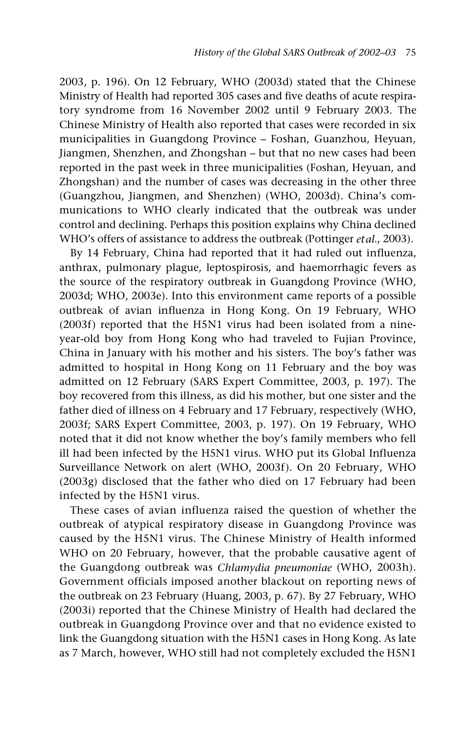2003, p. 196). On 12 February, WHO (2003d) stated that the Chinese Ministry of Health had reported 305 cases and five deaths of acute respiratory syndrome from 16 November 2002 until 9 February 2003. The Chinese Ministry of Health also reported that cases were recorded in six municipalities in Guangdong Province – Foshan, Guanzhou, Heyuan, Jiangmen, Shenzhen, and Zhongshan – but that no new cases had been reported in the past week in three municipalities (Foshan, Heyuan, and Zhongshan) and the number of cases was decreasing in the other three (Guangzhou, Jiangmen, and Shenzhen) (WHO, 2003d). China's communications to WHO clearly indicated that the outbreak was under control and declining. Perhaps this position explains why China declined WHO's offers of assistance to address the outbreak (Pottinger *etal*., 2003).

By 14 February, China had reported that it had ruled out influenza, anthrax, pulmonary plague, leptospirosis, and haemorrhagic fevers as the source of the respiratory outbreak in Guangdong Province (WHO, 2003d; WHO, 2003e). Into this environment came reports of a possible outbreak of avian influenza in Hong Kong. On 19 February, WHO (2003f) reported that the H5N1 virus had been isolated from a nineyear-old boy from Hong Kong who had traveled to Fujian Province, China in January with his mother and his sisters. The boy's father was admitted to hospital in Hong Kong on 11 February and the boy was admitted on 12 February (SARS Expert Committee, 2003, p. 197). The boy recovered from this illness, as did his mother, but one sister and the father died of illness on 4 February and 17 February, respectively (WHO, 2003f; SARS Expert Committee, 2003, p. 197). On 19 February, WHO noted that it did not know whether the boy's family members who fell ill had been infected by the H5N1 virus. WHO put its Global Influenza Surveillance Network on alert (WHO, 2003f). On 20 February, WHO (2003g) disclosed that the father who died on 17 February had been infected by the H5N1 virus.

These cases of avian influenza raised the question of whether the outbreak of atypical respiratory disease in Guangdong Province was caused by the H5N1 virus. The Chinese Ministry of Health informed WHO on 20 February, however, that the probable causative agent of the Guangdong outbreak was *Chlamydia pneumoniae* (WHO, 2003h). Government officials imposed another blackout on reporting news of the outbreak on 23 February (Huang, 2003, p. 67). By 27 February, WHO (2003i) reported that the Chinese Ministry of Health had declared the outbreak in Guangdong Province over and that no evidence existed to link the Guangdong situation with the H5N1 cases in Hong Kong. As late as 7 March, however, WHO still had not completely excluded the H5N1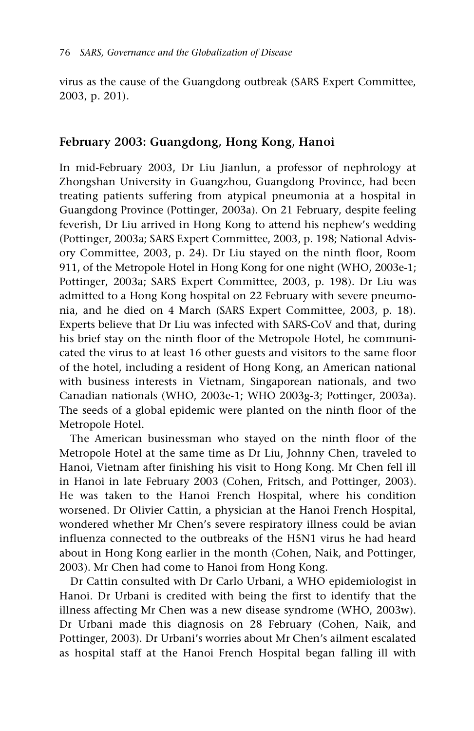virus as the cause of the Guangdong outbreak (SARS Expert Committee, 2003, p. 201).

## **February 2003: Guangdong, Hong Kong, Hanoi**

In mid-February 2003, Dr Liu Jianlun, a professor of nephrology at Zhongshan University in Guangzhou, Guangdong Province, had been treating patients suffering from atypical pneumonia at a hospital in Guangdong Province (Pottinger, 2003a). On 21 February, despite feeling feverish, Dr Liu arrived in Hong Kong to attend his nephew's wedding (Pottinger, 2003a; SARS Expert Committee, 2003, p. 198; National Advisory Committee, 2003, p. 24). Dr Liu stayed on the ninth floor, Room 911, of the Metropole Hotel in Hong Kong for one night (WHO, 2003e-1; Pottinger, 2003a; SARS Expert Committee, 2003, p. 198). Dr Liu was admitted to a Hong Kong hospital on 22 February with severe pneumonia, and he died on 4 March (SARS Expert Committee, 2003, p. 18). Experts believe that Dr Liu was infected with SARS-CoV and that, during his brief stay on the ninth floor of the Metropole Hotel, he communicated the virus to at least 16 other guests and visitors to the same floor of the hotel, including a resident of Hong Kong, an American national with business interests in Vietnam, Singaporean nationals, and two Canadian nationals (WHO, 2003e-1; WHO 2003g-3; Pottinger, 2003a). The seeds of a global epidemic were planted on the ninth floor of the Metropole Hotel.

The American businessman who stayed on the ninth floor of the Metropole Hotel at the same time as Dr Liu, Johnny Chen, traveled to Hanoi, Vietnam after finishing his visit to Hong Kong. Mr Chen fell ill in Hanoi in late February 2003 (Cohen, Fritsch, and Pottinger, 2003). He was taken to the Hanoi French Hospital, where his condition worsened. Dr Olivier Cattin, a physician at the Hanoi French Hospital, wondered whether Mr Chen's severe respiratory illness could be avian influenza connected to the outbreaks of the H5N1 virus he had heard about in Hong Kong earlier in the month (Cohen, Naik, and Pottinger, 2003). Mr Chen had come to Hanoi from Hong Kong.

Dr Cattin consulted with Dr Carlo Urbani, a WHO epidemiologist in Hanoi. Dr Urbani is credited with being the first to identify that the illness affecting Mr Chen was a new disease syndrome (WHO, 2003w). Dr Urbani made this diagnosis on 28 February (Cohen, Naik, and Pottinger, 2003). Dr Urbani's worries about Mr Chen's ailment escalated as hospital staff at the Hanoi French Hospital began falling ill with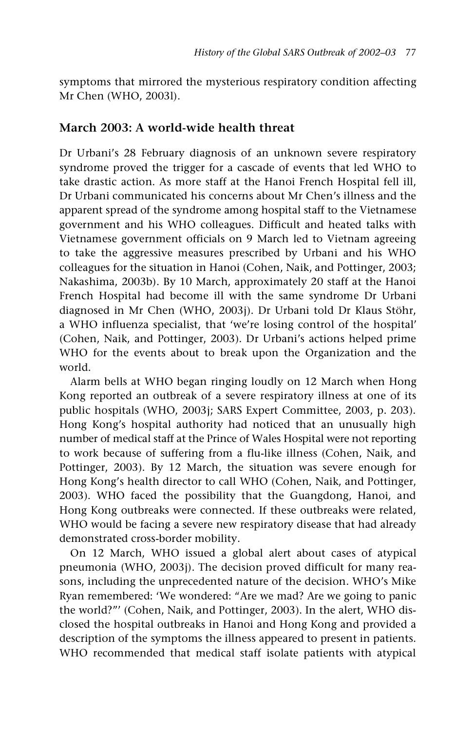symptoms that mirrored the mysterious respiratory condition affecting Mr Chen (WHO, 2003l).

## **March 2003: A world-wide health threat**

Dr Urbani's 28 February diagnosis of an unknown severe respiratory syndrome proved the trigger for a cascade of events that led WHO to take drastic action. As more staff at the Hanoi French Hospital fell ill, Dr Urbani communicated his concerns about Mr Chen's illness and the apparent spread of the syndrome among hospital staff to the Vietnamese government and his WHO colleagues. Difficult and heated talks with Vietnamese government officials on 9 March led to Vietnam agreeing to take the aggressive measures prescribed by Urbani and his WHO colleagues for the situation in Hanoi (Cohen, Naik, and Pottinger, 2003; Nakashima, 2003b). By 10 March, approximately 20 staff at the Hanoi French Hospital had become ill with the same syndrome Dr Urbani diagnosed in Mr Chen (WHO, 2003j). Dr Urbani told Dr Klaus Stöhr, a WHO influenza specialist, that 'we're losing control of the hospital' (Cohen, Naik, and Pottinger, 2003). Dr Urbani's actions helped prime WHO for the events about to break upon the Organization and the world.

Alarm bells at WHO began ringing loudly on 12 March when Hong Kong reported an outbreak of a severe respiratory illness at one of its public hospitals (WHO, 2003j; SARS Expert Committee, 2003, p. 203). Hong Kong's hospital authority had noticed that an unusually high number of medical staff at the Prince of Wales Hospital were not reporting to work because of suffering from a flu-like illness (Cohen, Naik, and Pottinger, 2003). By 12 March, the situation was severe enough for Hong Kong's health director to call WHO (Cohen, Naik, and Pottinger, 2003). WHO faced the possibility that the Guangdong, Hanoi, and Hong Kong outbreaks were connected. If these outbreaks were related, WHO would be facing a severe new respiratory disease that had already demonstrated cross-border mobility.

On 12 March, WHO issued a global alert about cases of atypical pneumonia (WHO, 2003j). The decision proved difficult for many reasons, including the unprecedented nature of the decision. WHO's Mike Ryan remembered: 'We wondered: "Are we mad? Are we going to panic the world?"' (Cohen, Naik, and Pottinger, 2003). In the alert, WHO disclosed the hospital outbreaks in Hanoi and Hong Kong and provided a description of the symptoms the illness appeared to present in patients. WHO recommended that medical staff isolate patients with atypical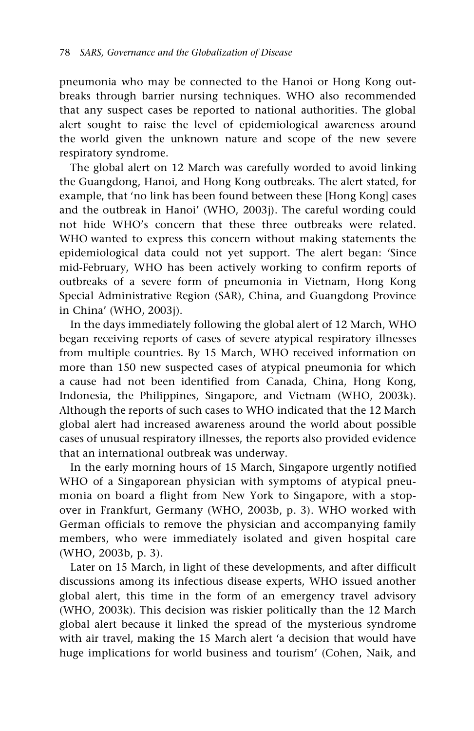pneumonia who may be connected to the Hanoi or Hong Kong outbreaks through barrier nursing techniques. WHO also recommended that any suspect cases be reported to national authorities. The global alert sought to raise the level of epidemiological awareness around the world given the unknown nature and scope of the new severe respiratory syndrome.

The global alert on 12 March was carefully worded to avoid linking the Guangdong, Hanoi, and Hong Kong outbreaks. The alert stated, for example, that 'no link has been found between these [Hong Kong] cases and the outbreak in Hanoi' (WHO, 2003j). The careful wording could not hide WHO's concern that these three outbreaks were related. WHO wanted to express this concern without making statements the epidemiological data could not yet support. The alert began: 'Since mid-February, WHO has been actively working to confirm reports of outbreaks of a severe form of pneumonia in Vietnam, Hong Kong Special Administrative Region (SAR), China, and Guangdong Province in China' (WHO, 2003j).

In the days immediately following the global alert of 12 March, WHO began receiving reports of cases of severe atypical respiratory illnesses from multiple countries. By 15 March, WHO received information on more than 150 new suspected cases of atypical pneumonia for which a cause had not been identified from Canada, China, Hong Kong, Indonesia, the Philippines, Singapore, and Vietnam (WHO, 2003k). Although the reports of such cases to WHO indicated that the 12 March global alert had increased awareness around the world about possible cases of unusual respiratory illnesses, the reports also provided evidence that an international outbreak was underway.

In the early morning hours of 15 March, Singapore urgently notified WHO of a Singaporean physician with symptoms of atypical pneumonia on board a flight from New York to Singapore, with a stopover in Frankfurt, Germany (WHO, 2003b, p. 3). WHO worked with German officials to remove the physician and accompanying family members, who were immediately isolated and given hospital care (WHO, 2003b, p. 3).

Later on 15 March, in light of these developments, and after difficult discussions among its infectious disease experts, WHO issued another global alert, this time in the form of an emergency travel advisory (WHO, 2003k). This decision was riskier politically than the 12 March global alert because it linked the spread of the mysterious syndrome with air travel, making the 15 March alert 'a decision that would have huge implications for world business and tourism' (Cohen, Naik, and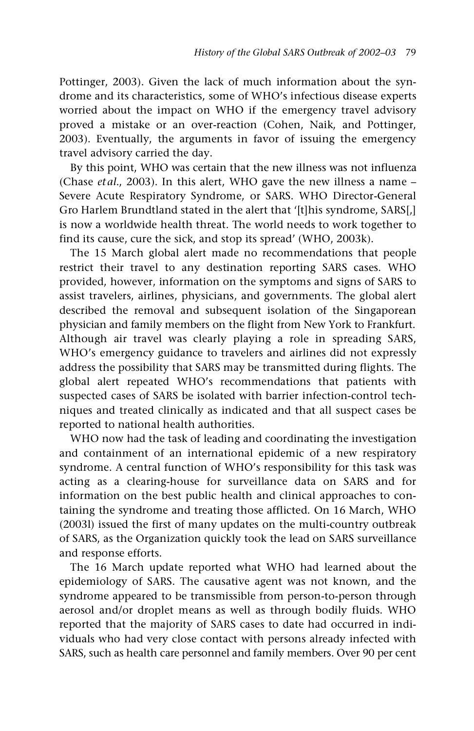Pottinger, 2003). Given the lack of much information about the syndrome and its characteristics, some of WHO's infectious disease experts worried about the impact on WHO if the emergency travel advisory proved a mistake or an over-reaction (Cohen, Naik, and Pottinger, 2003). Eventually, the arguments in favor of issuing the emergency travel advisory carried the day.

By this point, WHO was certain that the new illness was not influenza (Chase *et al*., 2003). In this alert, WHO gave the new illness a name – Severe Acute Respiratory Syndrome, or SARS. WHO Director-General Gro Harlem Brundtland stated in the alert that '[t]his syndrome, SARS[,] is now a worldwide health threat. The world needs to work together to find its cause, cure the sick, and stop its spread' (WHO, 2003k).

The 15 March global alert made no recommendations that people restrict their travel to any destination reporting SARS cases. WHO provided, however, information on the symptoms and signs of SARS to assist travelers, airlines, physicians, and governments. The global alert described the removal and subsequent isolation of the Singaporean physician and family members on the flight from New York to Frankfurt. Although air travel was clearly playing a role in spreading SARS, WHO's emergency guidance to travelers and airlines did not expressly address the possibility that SARS may be transmitted during flights. The global alert repeated WHO's recommendations that patients with suspected cases of SARS be isolated with barrier infection-control techniques and treated clinically as indicated and that all suspect cases be reported to national health authorities.

WHO now had the task of leading and coordinating the investigation and containment of an international epidemic of a new respiratory syndrome. A central function of WHO's responsibility for this task was acting as a clearing-house for surveillance data on SARS and for information on the best public health and clinical approaches to containing the syndrome and treating those afflicted. On 16 March, WHO (2003l) issued the first of many updates on the multi-country outbreak of SARS, as the Organization quickly took the lead on SARS surveillance and response efforts.

The 16 March update reported what WHO had learned about the epidemiology of SARS. The causative agent was not known, and the syndrome appeared to be transmissible from person-to-person through aerosol and/or droplet means as well as through bodily fluids. WHO reported that the majority of SARS cases to date had occurred in individuals who had very close contact with persons already infected with SARS, such as health care personnel and family members. Over 90 per cent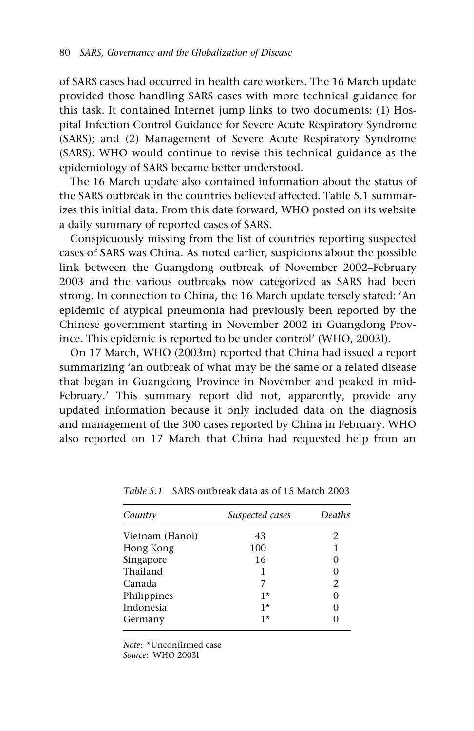of SARS cases had occurred in health care workers. The 16 March update provided those handling SARS cases with more technical guidance for this task. It contained Internet jump links to two documents: (1) Hospital Infection Control Guidance for Severe Acute Respiratory Syndrome (SARS); and (2) Management of Severe Acute Respiratory Syndrome (SARS). WHO would continue to revise this technical guidance as the epidemiology of SARS became better understood.

The 16 March update also contained information about the status of the SARS outbreak in the countries believed affected. Table 5.1 summarizes this initial data. From this date forward, WHO posted on its website a daily summary of reported cases of SARS.

Conspicuously missing from the list of countries reporting suspected cases of SARS was China. As noted earlier, suspicions about the possible link between the Guangdong outbreak of November 2002–February 2003 and the various outbreaks now categorized as SARS had been strong. In connection to China, the 16 March update tersely stated: 'An epidemic of atypical pneumonia had previously been reported by the Chinese government starting in November 2002 in Guangdong Province. This epidemic is reported to be under control' (WHO, 2003l).

On 17 March, WHO (2003m) reported that China had issued a report summarizing 'an outbreak of what may be the same or a related disease that began in Guangdong Province in November and peaked in mid-February.' This summary report did not, apparently, provide any updated information because it only included data on the diagnosis and management of the 300 cases reported by China in February. WHO also reported on 17 March that China had requested help from an

| Country         | Suspected cases | <b>Deaths</b> |
|-----------------|-----------------|---------------|
| Vietnam (Hanoi) | 43              | 2             |
| Hong Kong       | 100             |               |
| Singapore       | 16              | 0             |
| Thailand        | 1               | $\theta$      |
| Canada          | 7               | 2             |
| Philippines     | $1*$            | 0             |
| Indonesia       | $1*$            | 0             |
| Germany         | $1*$            |               |

*Table 5.1* SARS outbreak data as of 15 March 2003

*Note*: \*Unconfirmed case *Source*: WHO 2003l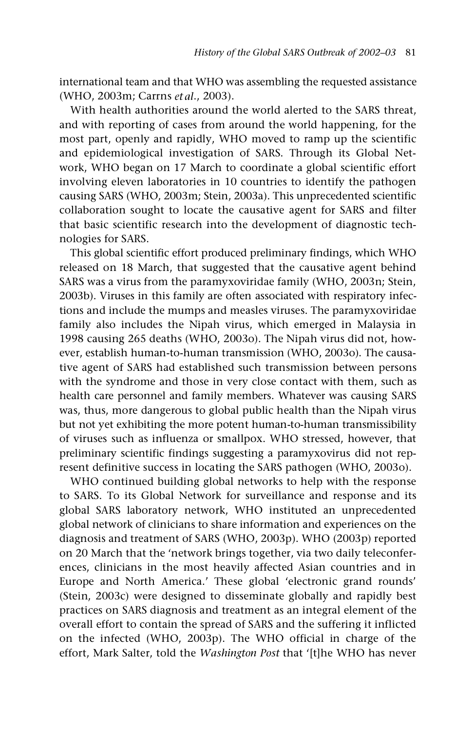international team and that WHO was assembling the requested assistance (WHO, 2003m; Carrns *et al*., 2003).

With health authorities around the world alerted to the SARS threat, and with reporting of cases from around the world happening, for the most part, openly and rapidly, WHO moved to ramp up the scientific and epidemiological investigation of SARS. Through its Global Network, WHO began on 17 March to coordinate a global scientific effort involving eleven laboratories in 10 countries to identify the pathogen causing SARS (WHO, 2003m; Stein, 2003a). This unprecedented scientific collaboration sought to locate the causative agent for SARS and filter that basic scientific research into the development of diagnostic technologies for SARS.

This global scientific effort produced preliminary findings, which WHO released on 18 March, that suggested that the causative agent behind SARS was a virus from the paramyxoviridae family (WHO, 2003n; Stein, 2003b). Viruses in this family are often associated with respiratory infections and include the mumps and measles viruses. The paramyxoviridae family also includes the Nipah virus, which emerged in Malaysia in 1998 causing 265 deaths (WHO, 2003o). The Nipah virus did not, however, establish human-to-human transmission (WHO, 2003o). The causative agent of SARS had established such transmission between persons with the syndrome and those in very close contact with them, such as health care personnel and family members. Whatever was causing SARS was, thus, more dangerous to global public health than the Nipah virus but not yet exhibiting the more potent human-to-human transmissibility of viruses such as influenza or smallpox. WHO stressed, however, that preliminary scientific findings suggesting a paramyxovirus did not represent definitive success in locating the SARS pathogen (WHO, 2003o).

WHO continued building global networks to help with the response to SARS. To its Global Network for surveillance and response and its global SARS laboratory network, WHO instituted an unprecedented global network of clinicians to share information and experiences on the diagnosis and treatment of SARS (WHO, 2003p). WHO (2003p) reported on 20 March that the 'network brings together, via two daily teleconferences, clinicians in the most heavily affected Asian countries and in Europe and North America.' These global 'electronic grand rounds' (Stein, 2003c) were designed to disseminate globally and rapidly best practices on SARS diagnosis and treatment as an integral element of the overall effort to contain the spread of SARS and the suffering it inflicted on the infected (WHO, 2003p). The WHO official in charge of the effort, Mark Salter, told the *Washington Post* that '[t]he WHO has never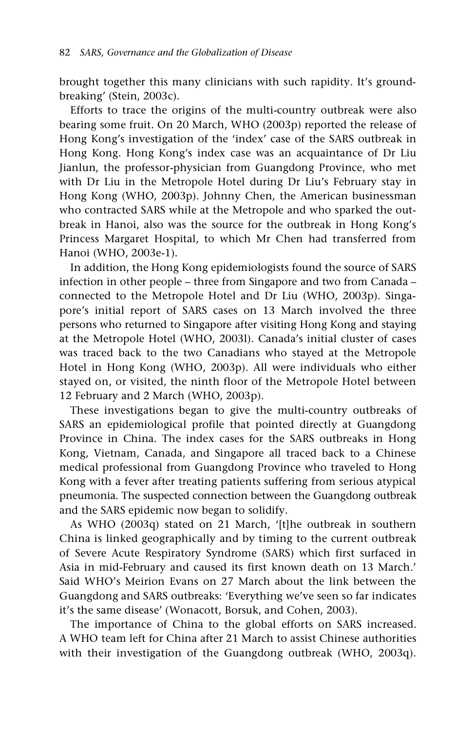brought together this many clinicians with such rapidity. It's groundbreaking' (Stein, 2003c).

Efforts to trace the origins of the multi-country outbreak were also bearing some fruit. On 20 March, WHO (2003p) reported the release of Hong Kong's investigation of the 'index' case of the SARS outbreak in Hong Kong. Hong Kong's index case was an acquaintance of Dr Liu Jianlun, the professor-physician from Guangdong Province, who met with Dr Liu in the Metropole Hotel during Dr Liu's February stay in Hong Kong (WHO, 2003p). Johnny Chen, the American businessman who contracted SARS while at the Metropole and who sparked the outbreak in Hanoi, also was the source for the outbreak in Hong Kong's Princess Margaret Hospital, to which Mr Chen had transferred from Hanoi (WHO, 2003e-1).

In addition, the Hong Kong epidemiologists found the source of SARS infection in other people – three from Singapore and two from Canada – connected to the Metropole Hotel and Dr Liu (WHO, 2003p). Singapore's initial report of SARS cases on 13 March involved the three persons who returned to Singapore after visiting Hong Kong and staying at the Metropole Hotel (WHO, 2003l). Canada's initial cluster of cases was traced back to the two Canadians who stayed at the Metropole Hotel in Hong Kong (WHO, 2003p). All were individuals who either stayed on, or visited, the ninth floor of the Metropole Hotel between 12 February and 2 March (WHO, 2003p).

These investigations began to give the multi-country outbreaks of SARS an epidemiological profile that pointed directly at Guangdong Province in China. The index cases for the SARS outbreaks in Hong Kong, Vietnam, Canada, and Singapore all traced back to a Chinese medical professional from Guangdong Province who traveled to Hong Kong with a fever after treating patients suffering from serious atypical pneumonia. The suspected connection between the Guangdong outbreak and the SARS epidemic now began to solidify.

As WHO (2003q) stated on 21 March, '[t]he outbreak in southern China is linked geographically and by timing to the current outbreak of Severe Acute Respiratory Syndrome (SARS) which first surfaced in Asia in mid-February and caused its first known death on 13 March.' Said WHO's Meirion Evans on 27 March about the link between the Guangdong and SARS outbreaks: 'Everything we've seen so far indicates it's the same disease' (Wonacott, Borsuk, and Cohen, 2003).

The importance of China to the global efforts on SARS increased. A WHO team left for China after 21 March to assist Chinese authorities with their investigation of the Guangdong outbreak (WHO, 2003q).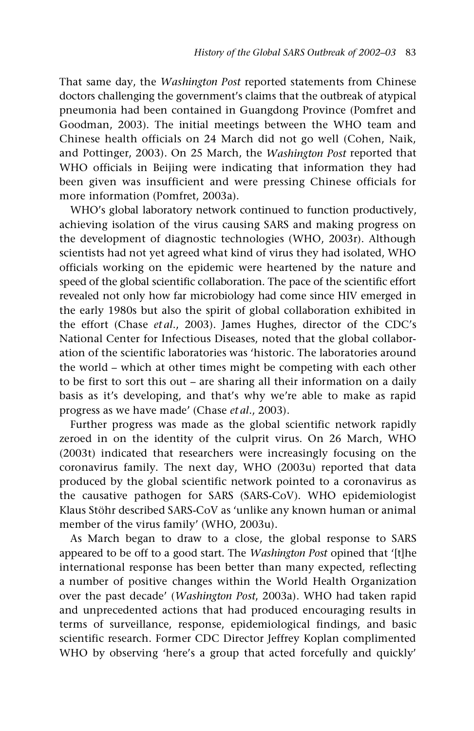That same day, the *Washington Post* reported statements from Chinese doctors challenging the government's claims that the outbreak of atypical pneumonia had been contained in Guangdong Province (Pomfret and Goodman, 2003). The initial meetings between the WHO team and Chinese health officials on 24 March did not go well (Cohen, Naik, and Pottinger, 2003). On 25 March, the *Washington Post* reported that WHO officials in Beijing were indicating that information they had been given was insufficient and were pressing Chinese officials for more information (Pomfret, 2003a).

WHO's global laboratory network continued to function productively, achieving isolation of the virus causing SARS and making progress on the development of diagnostic technologies (WHO, 2003r). Although scientists had not yet agreed what kind of virus they had isolated, WHO officials working on the epidemic were heartened by the nature and speed of the global scientific collaboration. The pace of the scientific effort revealed not only how far microbiology had come since HIV emerged in the early 1980s but also the spirit of global collaboration exhibited in the effort (Chase *et al*., 2003). James Hughes, director of the CDC's National Center for Infectious Diseases, noted that the global collaboration of the scientific laboratories was 'historic. The laboratories around the world – which at other times might be competing with each other to be first to sort this out – are sharing all their information on a daily basis as it's developing, and that's why we're able to make as rapid progress as we have made' (Chase *et al*., 2003).

Further progress was made as the global scientific network rapidly zeroed in on the identity of the culprit virus. On 26 March, WHO (2003t) indicated that researchers were increasingly focusing on the coronavirus family. The next day, WHO (2003u) reported that data produced by the global scientific network pointed to a coronavirus as the causative pathogen for SARS (SARS-CoV). WHO epidemiologist Klaus Stöhr described SARS-CoV as 'unlike any known human or animal member of the virus family' (WHO, 2003u).

As March began to draw to a close, the global response to SARS appeared to be off to a good start. The *Washington Post* opined that '[t]he international response has been better than many expected, reflecting a number of positive changes within the World Health Organization over the past decade' (*Washington Post*, 2003a). WHO had taken rapid and unprecedented actions that had produced encouraging results in terms of surveillance, response, epidemiological findings, and basic scientific research. Former CDC Director Jeffrey Koplan complimented WHO by observing 'here's a group that acted forcefully and quickly'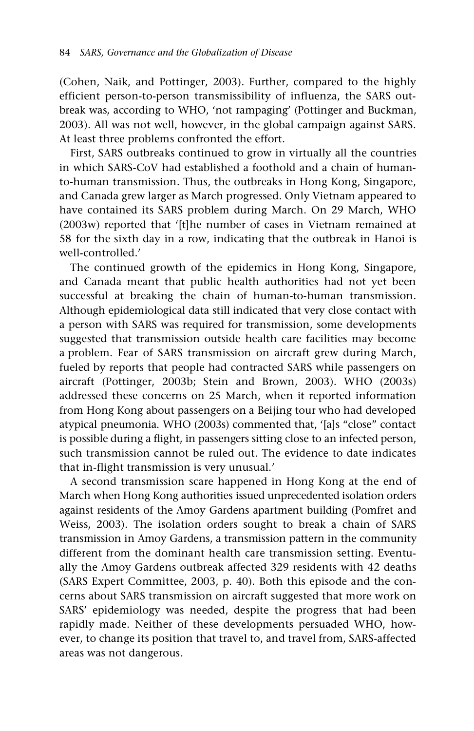(Cohen, Naik, and Pottinger, 2003). Further, compared to the highly efficient person-to-person transmissibility of influenza, the SARS outbreak was, according to WHO, 'not rampaging' (Pottinger and Buckman, 2003). All was not well, however, in the global campaign against SARS. At least three problems confronted the effort.

First, SARS outbreaks continued to grow in virtually all the countries in which SARS-CoV had established a foothold and a chain of humanto-human transmission. Thus, the outbreaks in Hong Kong, Singapore, and Canada grew larger as March progressed. Only Vietnam appeared to have contained its SARS problem during March. On 29 March, WHO (2003w) reported that '[t]he number of cases in Vietnam remained at 58 for the sixth day in a row, indicating that the outbreak in Hanoi is well-controlled.'

The continued growth of the epidemics in Hong Kong, Singapore, and Canada meant that public health authorities had not yet been successful at breaking the chain of human-to-human transmission. Although epidemiological data still indicated that very close contact with a person with SARS was required for transmission, some developments suggested that transmission outside health care facilities may become a problem. Fear of SARS transmission on aircraft grew during March, fueled by reports that people had contracted SARS while passengers on aircraft (Pottinger, 2003b; Stein and Brown, 2003). WHO (2003s) addressed these concerns on 25 March, when it reported information from Hong Kong about passengers on a Beijing tour who had developed atypical pneumonia. WHO (2003s) commented that, '[a]s "close" contact is possible during a flight, in passengers sitting close to an infected person, such transmission cannot be ruled out. The evidence to date indicates that in-flight transmission is very unusual.'

A second transmission scare happened in Hong Kong at the end of March when Hong Kong authorities issued unprecedented isolation orders against residents of the Amoy Gardens apartment building (Pomfret and Weiss, 2003). The isolation orders sought to break a chain of SARS transmission in Amoy Gardens, a transmission pattern in the community different from the dominant health care transmission setting. Eventually the Amoy Gardens outbreak affected 329 residents with 42 deaths (SARS Expert Committee, 2003, p. 40). Both this episode and the concerns about SARS transmission on aircraft suggested that more work on SARS' epidemiology was needed, despite the progress that had been rapidly made. Neither of these developments persuaded WHO, however, to change its position that travel to, and travel from, SARS-affected areas was not dangerous.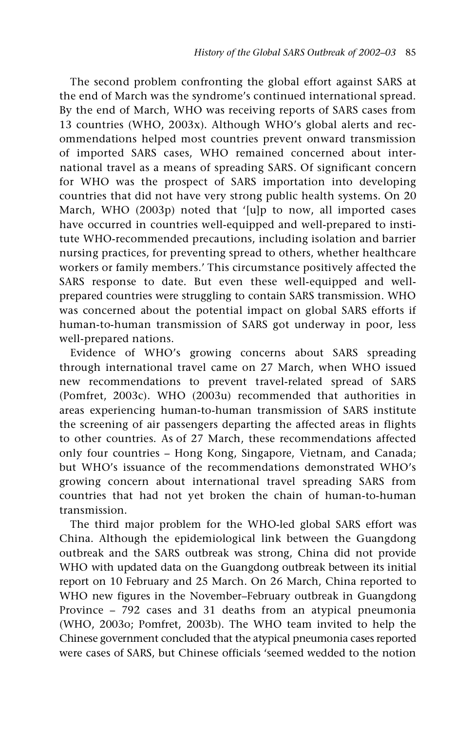The second problem confronting the global effort against SARS at the end of March was the syndrome's continued international spread. By the end of March, WHO was receiving reports of SARS cases from 13 countries (WHO, 2003x). Although WHO's global alerts and recommendations helped most countries prevent onward transmission of imported SARS cases, WHO remained concerned about international travel as a means of spreading SARS. Of significant concern for WHO was the prospect of SARS importation into developing countries that did not have very strong public health systems. On 20 March, WHO (2003p) noted that '[u]p to now, all imported cases have occurred in countries well-equipped and well-prepared to institute WHO-recommended precautions, including isolation and barrier nursing practices, for preventing spread to others, whether healthcare workers or family members.' This circumstance positively affected the SARS response to date. But even these well-equipped and wellprepared countries were struggling to contain SARS transmission. WHO was concerned about the potential impact on global SARS efforts if human-to-human transmission of SARS got underway in poor, less well-prepared nations.

Evidence of WHO's growing concerns about SARS spreading through international travel came on 27 March, when WHO issued new recommendations to prevent travel-related spread of SARS (Pomfret, 2003c). WHO (2003u) recommended that authorities in areas experiencing human-to-human transmission of SARS institute the screening of air passengers departing the affected areas in flights to other countries. As of 27 March, these recommendations affected only four countries – Hong Kong, Singapore, Vietnam, and Canada; but WHO's issuance of the recommendations demonstrated WHO's growing concern about international travel spreading SARS from countries that had not yet broken the chain of human-to-human transmission.

The third major problem for the WHO-led global SARS effort was China. Although the epidemiological link between the Guangdong outbreak and the SARS outbreak was strong, China did not provide WHO with updated data on the Guangdong outbreak between its initial report on 10 February and 25 March. On 26 March, China reported to WHO new figures in the November–February outbreak in Guangdong Province – 792 cases and 31 deaths from an atypical pneumonia (WHO, 2003o; Pomfret, 2003b). The WHO team invited to help the Chinese government concluded that the atypical pneumonia cases reported were cases of SARS, but Chinese officials 'seemed wedded to the notion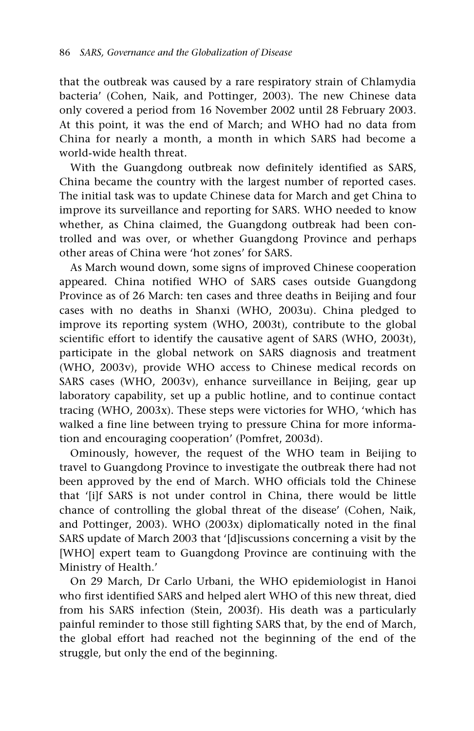that the outbreak was caused by a rare respiratory strain of Chlamydia bacteria' (Cohen, Naik, and Pottinger, 2003). The new Chinese data only covered a period from 16 November 2002 until 28 February 2003. At this point, it was the end of March; and WHO had no data from China for nearly a month, a month in which SARS had become a world-wide health threat.

With the Guangdong outbreak now definitely identified as SARS, China became the country with the largest number of reported cases. The initial task was to update Chinese data for March and get China to improve its surveillance and reporting for SARS. WHO needed to know whether, as China claimed, the Guangdong outbreak had been controlled and was over, or whether Guangdong Province and perhaps other areas of China were 'hot zones' for SARS.

As March wound down, some signs of improved Chinese cooperation appeared. China notified WHO of SARS cases outside Guangdong Province as of 26 March: ten cases and three deaths in Beijing and four cases with no deaths in Shanxi (WHO, 2003u). China pledged to improve its reporting system (WHO, 2003t), contribute to the global scientific effort to identify the causative agent of SARS (WHO, 2003t), participate in the global network on SARS diagnosis and treatment (WHO, 2003v), provide WHO access to Chinese medical records on SARS cases (WHO, 2003v), enhance surveillance in Beijing, gear up laboratory capability, set up a public hotline, and to continue contact tracing (WHO, 2003x). These steps were victories for WHO, 'which has walked a fine line between trying to pressure China for more information and encouraging cooperation' (Pomfret, 2003d).

Ominously, however, the request of the WHO team in Beijing to travel to Guangdong Province to investigate the outbreak there had not been approved by the end of March. WHO officials told the Chinese that '[i]f SARS is not under control in China, there would be little chance of controlling the global threat of the disease' (Cohen, Naik, and Pottinger, 2003). WHO (2003x) diplomatically noted in the final SARS update of March 2003 that '[d]iscussions concerning a visit by the [WHO] expert team to Guangdong Province are continuing with the Ministry of Health.'

On 29 March, Dr Carlo Urbani, the WHO epidemiologist in Hanoi who first identified SARS and helped alert WHO of this new threat, died from his SARS infection (Stein, 2003f). His death was a particularly painful reminder to those still fighting SARS that, by the end of March, the global effort had reached not the beginning of the end of the struggle, but only the end of the beginning.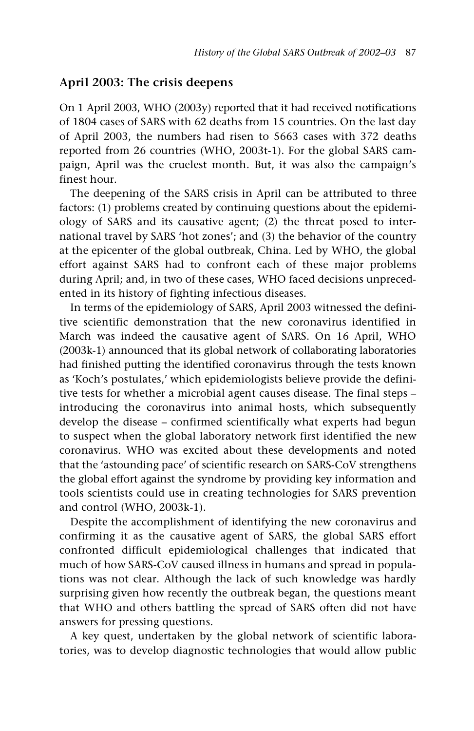#### **April 2003: The crisis deepens**

On 1 April 2003, WHO (2003y) reported that it had received notifications of 1804 cases of SARS with 62 deaths from 15 countries. On the last day of April 2003, the numbers had risen to 5663 cases with 372 deaths reported from 26 countries (WHO, 2003t-1). For the global SARS campaign, April was the cruelest month. But, it was also the campaign's finest hour.

The deepening of the SARS crisis in April can be attributed to three factors: (1) problems created by continuing questions about the epidemiology of SARS and its causative agent; (2) the threat posed to international travel by SARS 'hot zones'; and (3) the behavior of the country at the epicenter of the global outbreak, China. Led by WHO, the global effort against SARS had to confront each of these major problems during April; and, in two of these cases, WHO faced decisions unprecedented in its history of fighting infectious diseases.

In terms of the epidemiology of SARS, April 2003 witnessed the definitive scientific demonstration that the new coronavirus identified in March was indeed the causative agent of SARS. On 16 April, WHO (2003k-1) announced that its global network of collaborating laboratories had finished putting the identified coronavirus through the tests known as 'Koch's postulates,' which epidemiologists believe provide the definitive tests for whether a microbial agent causes disease. The final steps – introducing the coronavirus into animal hosts, which subsequently develop the disease – confirmed scientifically what experts had begun to suspect when the global laboratory network first identified the new coronavirus. WHO was excited about these developments and noted that the 'astounding pace' of scientific research on SARS-CoV strengthens the global effort against the syndrome by providing key information and tools scientists could use in creating technologies for SARS prevention and control (WHO, 2003k-1).

Despite the accomplishment of identifying the new coronavirus and confirming it as the causative agent of SARS, the global SARS effort confronted difficult epidemiological challenges that indicated that much of how SARS-CoV caused illness in humans and spread in populations was not clear. Although the lack of such knowledge was hardly surprising given how recently the outbreak began, the questions meant that WHO and others battling the spread of SARS often did not have answers for pressing questions.

A key quest, undertaken by the global network of scientific laboratories, was to develop diagnostic technologies that would allow public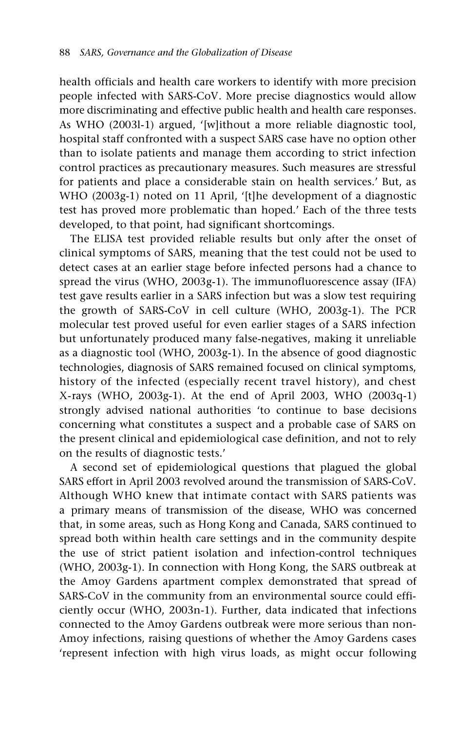health officials and health care workers to identify with more precision people infected with SARS-CoV. More precise diagnostics would allow more discriminating and effective public health and health care responses. As WHO (2003l-1) argued, '[w]ithout a more reliable diagnostic tool, hospital staff confronted with a suspect SARS case have no option other than to isolate patients and manage them according to strict infection control practices as precautionary measures. Such measures are stressful for patients and place a considerable stain on health services.' But, as WHO (2003g-1) noted on 11 April, '[t]he development of a diagnostic test has proved more problematic than hoped.' Each of the three tests developed, to that point, had significant shortcomings.

The ELISA test provided reliable results but only after the onset of clinical symptoms of SARS, meaning that the test could not be used to detect cases at an earlier stage before infected persons had a chance to spread the virus (WHO, 2003g-1). The immunofluorescence assay (IFA) test gave results earlier in a SARS infection but was a slow test requiring the growth of SARS-CoV in cell culture (WHO, 2003g-1). The PCR molecular test proved useful for even earlier stages of a SARS infection but unfortunately produced many false-negatives, making it unreliable as a diagnostic tool (WHO, 2003g-1). In the absence of good diagnostic technologies, diagnosis of SARS remained focused on clinical symptoms, history of the infected (especially recent travel history), and chest X-rays (WHO, 2003g-1). At the end of April 2003, WHO (2003q-1) strongly advised national authorities 'to continue to base decisions concerning what constitutes a suspect and a probable case of SARS on the present clinical and epidemiological case definition, and not to rely on the results of diagnostic tests.'

A second set of epidemiological questions that plagued the global SARS effort in April 2003 revolved around the transmission of SARS-CoV. Although WHO knew that intimate contact with SARS patients was a primary means of transmission of the disease, WHO was concerned that, in some areas, such as Hong Kong and Canada, SARS continued to spread both within health care settings and in the community despite the use of strict patient isolation and infection-control techniques (WHO, 2003g-1). In connection with Hong Kong, the SARS outbreak at the Amoy Gardens apartment complex demonstrated that spread of SARS-CoV in the community from an environmental source could efficiently occur (WHO, 2003n-1). Further, data indicated that infections connected to the Amoy Gardens outbreak were more serious than non-Amoy infections, raising questions of whether the Amoy Gardens cases 'represent infection with high virus loads, as might occur following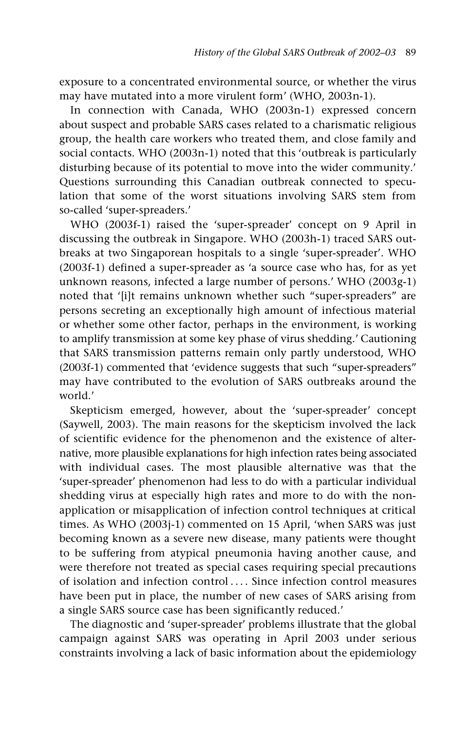exposure to a concentrated environmental source, or whether the virus may have mutated into a more virulent form' (WHO, 2003n-1).

In connection with Canada, WHO (2003n-1) expressed concern about suspect and probable SARS cases related to a charismatic religious group, the health care workers who treated them, and close family and social contacts. WHO (2003n-1) noted that this 'outbreak is particularly disturbing because of its potential to move into the wider community.' Questions surrounding this Canadian outbreak connected to speculation that some of the worst situations involving SARS stem from so-called 'super-spreaders.'

WHO (2003f-1) raised the 'super-spreader' concept on 9 April in discussing the outbreak in Singapore. WHO (2003h-1) traced SARS outbreaks at two Singaporean hospitals to a single 'super-spreader'. WHO (2003f-1) defined a super-spreader as 'a source case who has, for as yet unknown reasons, infected a large number of persons.' WHO (2003g-1) noted that '[i]t remains unknown whether such "super-spreaders" are persons secreting an exceptionally high amount of infectious material or whether some other factor, perhaps in the environment, is working to amplify transmission at some key phase of virus shedding.' Cautioning that SARS transmission patterns remain only partly understood, WHO (2003f-1) commented that 'evidence suggests that such "super-spreaders" may have contributed to the evolution of SARS outbreaks around the world.'

Skepticism emerged, however, about the 'super-spreader' concept (Saywell, 2003). The main reasons for the skepticism involved the lack of scientific evidence for the phenomenon and the existence of alternative, more plausible explanations for high infection rates being associated with individual cases. The most plausible alternative was that the 'super-spreader' phenomenon had less to do with a particular individual shedding virus at especially high rates and more to do with the nonapplication or misapplication of infection control techniques at critical times. As WHO (2003j-1) commented on 15 April, 'when SARS was just becoming known as a severe new disease, many patients were thought to be suffering from atypical pneumonia having another cause, and were therefore not treated as special cases requiring special precautions of isolation and infection control . . . . Since infection control measures have been put in place, the number of new cases of SARS arising from a single SARS source case has been significantly reduced.'

The diagnostic and 'super-spreader' problems illustrate that the global campaign against SARS was operating in April 2003 under serious constraints involving a lack of basic information about the epidemiology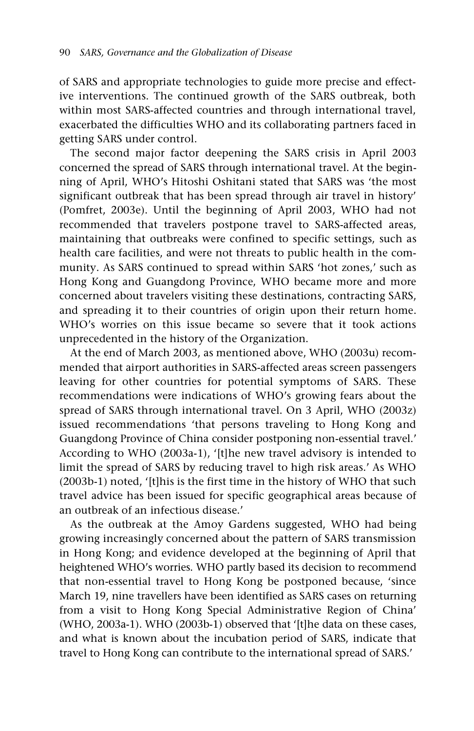of SARS and appropriate technologies to guide more precise and effective interventions. The continued growth of the SARS outbreak, both within most SARS-affected countries and through international travel. exacerbated the difficulties WHO and its collaborating partners faced in getting SARS under control.

The second major factor deepening the SARS crisis in April 2003 concerned the spread of SARS through international travel. At the beginning of April, WHO's Hitoshi Oshitani stated that SARS was 'the most significant outbreak that has been spread through air travel in history' (Pomfret, 2003e). Until the beginning of April 2003, WHO had not recommended that travelers postpone travel to SARS-affected areas, maintaining that outbreaks were confined to specific settings, such as health care facilities, and were not threats to public health in the community. As SARS continued to spread within SARS 'hot zones,' such as Hong Kong and Guangdong Province, WHO became more and more concerned about travelers visiting these destinations, contracting SARS, and spreading it to their countries of origin upon their return home. WHO's worries on this issue became so severe that it took actions unprecedented in the history of the Organization.

At the end of March 2003, as mentioned above, WHO (2003u) recommended that airport authorities in SARS-affected areas screen passengers leaving for other countries for potential symptoms of SARS. These recommendations were indications of WHO's growing fears about the spread of SARS through international travel. On 3 April, WHO (2003z) issued recommendations 'that persons traveling to Hong Kong and Guangdong Province of China consider postponing non-essential travel.' According to WHO (2003a-1), '[t]he new travel advisory is intended to limit the spread of SARS by reducing travel to high risk areas.' As WHO (2003b-1) noted, '[t]his is the first time in the history of WHO that such travel advice has been issued for specific geographical areas because of an outbreak of an infectious disease.'

As the outbreak at the Amoy Gardens suggested, WHO had being growing increasingly concerned about the pattern of SARS transmission in Hong Kong; and evidence developed at the beginning of April that heightened WHO's worries. WHO partly based its decision to recommend that non-essential travel to Hong Kong be postponed because, 'since March 19, nine travellers have been identified as SARS cases on returning from a visit to Hong Kong Special Administrative Region of China' (WHO, 2003a-1). WHO (2003b-1) observed that '[t]he data on these cases, and what is known about the incubation period of SARS, indicate that travel to Hong Kong can contribute to the international spread of SARS.'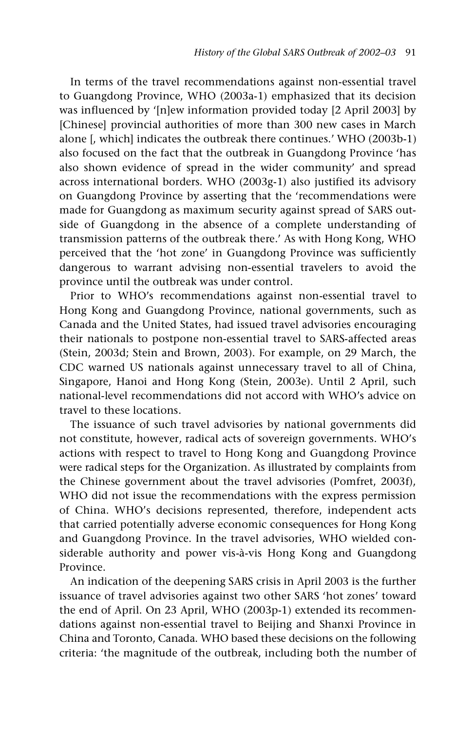In terms of the travel recommendations against non-essential travel to Guangdong Province, WHO (2003a-1) emphasized that its decision was influenced by '[n]ew information provided today [2 April 2003] by [Chinese] provincial authorities of more than 300 new cases in March alone [, which] indicates the outbreak there continues.' WHO (2003b-1) also focused on the fact that the outbreak in Guangdong Province 'has also shown evidence of spread in the wider community' and spread across international borders. WHO (2003g-1) also justified its advisory on Guangdong Province by asserting that the 'recommendations were made for Guangdong as maximum security against spread of SARS outside of Guangdong in the absence of a complete understanding of transmission patterns of the outbreak there.' As with Hong Kong, WHO perceived that the 'hot zone' in Guangdong Province was sufficiently dangerous to warrant advising non-essential travelers to avoid the province until the outbreak was under control.

Prior to WHO's recommendations against non-essential travel to Hong Kong and Guangdong Province, national governments, such as Canada and the United States, had issued travel advisories encouraging their nationals to postpone non-essential travel to SARS-affected areas (Stein, 2003d; Stein and Brown, 2003). For example, on 29 March, the CDC warned US nationals against unnecessary travel to all of China, Singapore, Hanoi and Hong Kong (Stein, 2003e). Until 2 April, such national-level recommendations did not accord with WHO's advice on travel to these locations.

The issuance of such travel advisories by national governments did not constitute, however, radical acts of sovereign governments. WHO's actions with respect to travel to Hong Kong and Guangdong Province were radical steps for the Organization. As illustrated by complaints from the Chinese government about the travel advisories (Pomfret, 2003f), WHO did not issue the recommendations with the express permission of China. WHO's decisions represented, therefore, independent acts that carried potentially adverse economic consequences for Hong Kong and Guangdong Province. In the travel advisories, WHO wielded considerable authority and power vis-à-vis Hong Kong and Guangdong Province.

An indication of the deepening SARS crisis in April 2003 is the further issuance of travel advisories against two other SARS 'hot zones' toward the end of April. On 23 April, WHO (2003p-1) extended its recommendations against non-essential travel to Beijing and Shanxi Province in China and Toronto, Canada. WHO based these decisions on the following criteria: 'the magnitude of the outbreak, including both the number of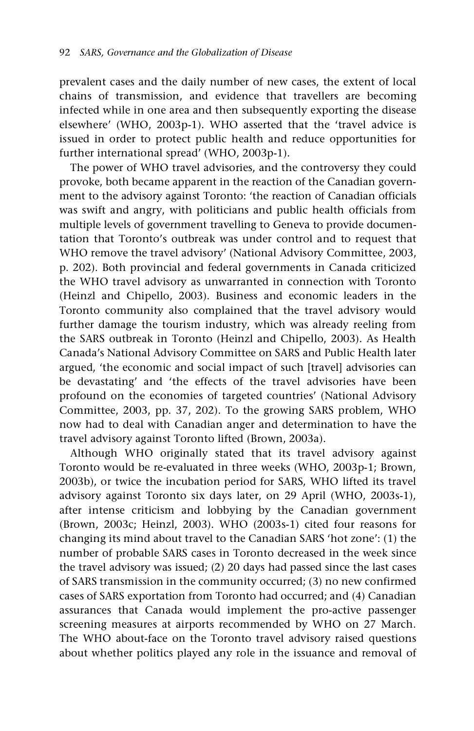prevalent cases and the daily number of new cases, the extent of local chains of transmission, and evidence that travellers are becoming infected while in one area and then subsequently exporting the disease elsewhere' (WHO, 2003p-1). WHO asserted that the 'travel advice is issued in order to protect public health and reduce opportunities for further international spread' (WHO, 2003p-1).

The power of WHO travel advisories, and the controversy they could provoke, both became apparent in the reaction of the Canadian government to the advisory against Toronto: 'the reaction of Canadian officials was swift and angry, with politicians and public health officials from multiple levels of government travelling to Geneva to provide documentation that Toronto's outbreak was under control and to request that WHO remove the travel advisory' (National Advisory Committee, 2003, p. 202). Both provincial and federal governments in Canada criticized the WHO travel advisory as unwarranted in connection with Toronto (Heinzl and Chipello, 2003). Business and economic leaders in the Toronto community also complained that the travel advisory would further damage the tourism industry, which was already reeling from the SARS outbreak in Toronto (Heinzl and Chipello, 2003). As Health Canada's National Advisory Committee on SARS and Public Health later argued, 'the economic and social impact of such [travel] advisories can be devastating' and 'the effects of the travel advisories have been profound on the economies of targeted countries' (National Advisory Committee, 2003, pp. 37, 202). To the growing SARS problem, WHO now had to deal with Canadian anger and determination to have the travel advisory against Toronto lifted (Brown, 2003a).

Although WHO originally stated that its travel advisory against Toronto would be re-evaluated in three weeks (WHO, 2003p-1; Brown, 2003b), or twice the incubation period for SARS, WHO lifted its travel advisory against Toronto six days later, on 29 April (WHO, 2003s-1), after intense criticism and lobbying by the Canadian government (Brown, 2003c; Heinzl, 2003). WHO (2003s-1) cited four reasons for changing its mind about travel to the Canadian SARS 'hot zone': (1) the number of probable SARS cases in Toronto decreased in the week since the travel advisory was issued; (2) 20 days had passed since the last cases of SARS transmission in the community occurred; (3) no new confirmed cases of SARS exportation from Toronto had occurred; and (4) Canadian assurances that Canada would implement the pro-active passenger screening measures at airports recommended by WHO on 27 March. The WHO about-face on the Toronto travel advisory raised questions about whether politics played any role in the issuance and removal of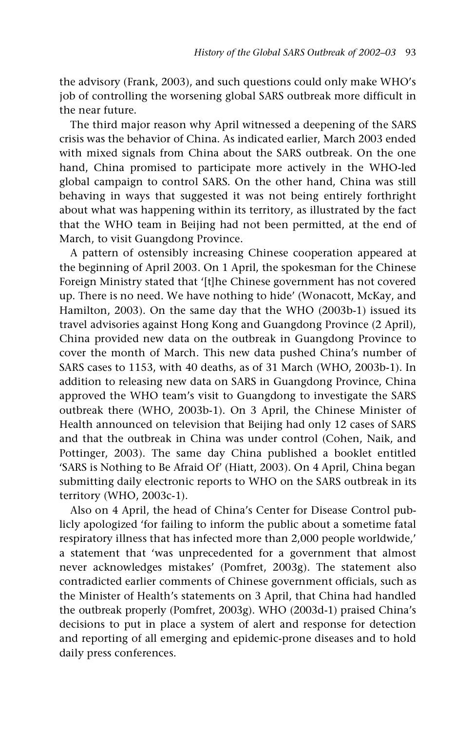the advisory (Frank, 2003), and such questions could only make WHO's job of controlling the worsening global SARS outbreak more difficult in the near future.

The third major reason why April witnessed a deepening of the SARS crisis was the behavior of China. As indicated earlier, March 2003 ended with mixed signals from China about the SARS outbreak. On the one hand, China promised to participate more actively in the WHO-led global campaign to control SARS. On the other hand, China was still behaving in ways that suggested it was not being entirely forthright about what was happening within its territory, as illustrated by the fact that the WHO team in Beijing had not been permitted, at the end of March, to visit Guangdong Province.

A pattern of ostensibly increasing Chinese cooperation appeared at the beginning of April 2003. On 1 April, the spokesman for the Chinese Foreign Ministry stated that '[t]he Chinese government has not covered up. There is no need. We have nothing to hide' (Wonacott, McKay, and Hamilton, 2003). On the same day that the WHO (2003b-1) issued its travel advisories against Hong Kong and Guangdong Province (2 April), China provided new data on the outbreak in Guangdong Province to cover the month of March. This new data pushed China's number of SARS cases to 1153, with 40 deaths, as of 31 March (WHO, 2003b-1). In addition to releasing new data on SARS in Guangdong Province, China approved the WHO team's visit to Guangdong to investigate the SARS outbreak there (WHO, 2003b-1). On 3 April, the Chinese Minister of Health announced on television that Beijing had only 12 cases of SARS and that the outbreak in China was under control (Cohen, Naik, and Pottinger, 2003). The same day China published a booklet entitled 'SARS is Nothing to Be Afraid Of' (Hiatt, 2003). On 4 April, China began submitting daily electronic reports to WHO on the SARS outbreak in its territory (WHO, 2003c-1).

Also on 4 April, the head of China's Center for Disease Control publicly apologized 'for failing to inform the public about a sometime fatal respiratory illness that has infected more than 2,000 people worldwide,' a statement that 'was unprecedented for a government that almost never acknowledges mistakes' (Pomfret, 2003g). The statement also contradicted earlier comments of Chinese government officials, such as the Minister of Health's statements on 3 April, that China had handled the outbreak properly (Pomfret, 2003g). WHO (2003d-1) praised China's decisions to put in place a system of alert and response for detection and reporting of all emerging and epidemic-prone diseases and to hold daily press conferences.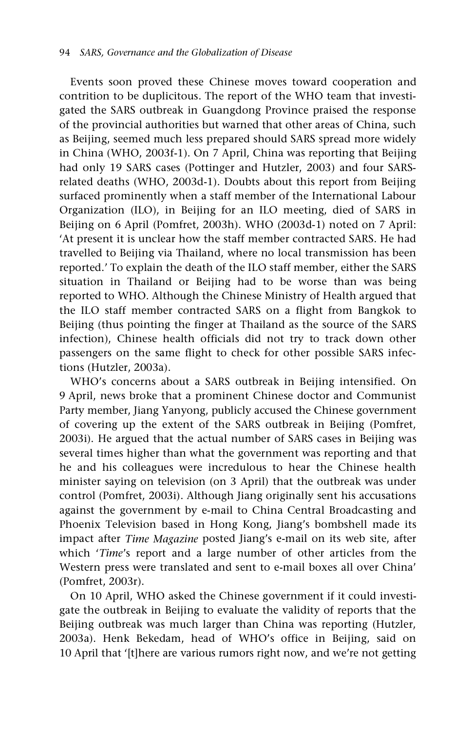Events soon proved these Chinese moves toward cooperation and contrition to be duplicitous. The report of the WHO team that investigated the SARS outbreak in Guangdong Province praised the response of the provincial authorities but warned that other areas of China, such as Beijing, seemed much less prepared should SARS spread more widely in China (WHO, 2003f-1). On 7 April, China was reporting that Beijing had only 19 SARS cases (Pottinger and Hutzler, 2003) and four SARSrelated deaths (WHO, 2003d-1). Doubts about this report from Beijing surfaced prominently when a staff member of the International Labour Organization (ILO), in Beijing for an ILO meeting, died of SARS in Beijing on 6 April (Pomfret, 2003h). WHO (2003d-1) noted on 7 April: 'At present it is unclear how the staff member contracted SARS. He had travelled to Beijing via Thailand, where no local transmission has been reported.' To explain the death of the ILO staff member, either the SARS situation in Thailand or Beijing had to be worse than was being reported to WHO. Although the Chinese Ministry of Health argued that the ILO staff member contracted SARS on a flight from Bangkok to Beijing (thus pointing the finger at Thailand as the source of the SARS infection), Chinese health officials did not try to track down other passengers on the same flight to check for other possible SARS infections (Hutzler, 2003a).

WHO's concerns about a SARS outbreak in Beijing intensified. On 9 April, news broke that a prominent Chinese doctor and Communist Party member, Jiang Yanyong, publicly accused the Chinese government of covering up the extent of the SARS outbreak in Beijing (Pomfret, 2003i). He argued that the actual number of SARS cases in Beijing was several times higher than what the government was reporting and that he and his colleagues were incredulous to hear the Chinese health minister saying on television (on 3 April) that the outbreak was under control (Pomfret, 2003i). Although Jiang originally sent his accusations against the government by e-mail to China Central Broadcasting and Phoenix Television based in Hong Kong, Jiang's bombshell made its impact after *Time Magazine* posted Jiang's e-mail on its web site, after which '*Time*'s report and a large number of other articles from the Western press were translated and sent to e-mail boxes all over China' (Pomfret, 2003r).

On 10 April, WHO asked the Chinese government if it could investigate the outbreak in Beijing to evaluate the validity of reports that the Beijing outbreak was much larger than China was reporting (Hutzler, 2003a). Henk Bekedam, head of WHO's office in Beijing, said on 10 April that '[t]here are various rumors right now, and we're not getting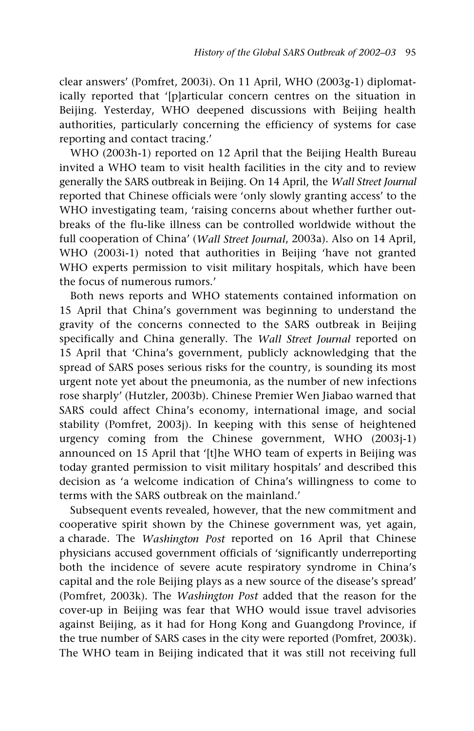clear answers' (Pomfret, 2003i). On 11 April, WHO (2003g-1) diplomatically reported that '[p]articular concern centres on the situation in Beijing. Yesterday, WHO deepened discussions with Beijing health authorities, particularly concerning the efficiency of systems for case reporting and contact tracing.'

WHO (2003h-1) reported on 12 April that the Beijing Health Bureau invited a WHO team to visit health facilities in the city and to review generally the SARS outbreak in Beijing. On 14 April, the *Wall Street Journal* reported that Chinese officials were 'only slowly granting access' to the WHO investigating team, 'raising concerns about whether further outbreaks of the flu-like illness can be controlled worldwide without the full cooperation of China' (*Wall Street Journal*, 2003a). Also on 14 April, WHO (2003i-1) noted that authorities in Beijing 'have not granted WHO experts permission to visit military hospitals, which have been the focus of numerous rumors.'

Both news reports and WHO statements contained information on 15 April that China's government was beginning to understand the gravity of the concerns connected to the SARS outbreak in Beijing specifically and China generally. The *Wall Street Journal* reported on 15 April that 'China's government, publicly acknowledging that the spread of SARS poses serious risks for the country, is sounding its most urgent note yet about the pneumonia, as the number of new infections rose sharply' (Hutzler, 2003b). Chinese Premier Wen Jiabao warned that SARS could affect China's economy, international image, and social stability (Pomfret, 2003j). In keeping with this sense of heightened urgency coming from the Chinese government, WHO (2003j-1) announced on 15 April that '[t]he WHO team of experts in Beijing was today granted permission to visit military hospitals' and described this decision as 'a welcome indication of China's willingness to come to terms with the SARS outbreak on the mainland.'

Subsequent events revealed, however, that the new commitment and cooperative spirit shown by the Chinese government was, yet again, a charade. The *Washington Post* reported on 16 April that Chinese physicians accused government officials of 'significantly underreporting both the incidence of severe acute respiratory syndrome in China's capital and the role Beijing plays as a new source of the disease's spread' (Pomfret, 2003k). The *Washington Post* added that the reason for the cover-up in Beijing was fear that WHO would issue travel advisories against Beijing, as it had for Hong Kong and Guangdong Province, if the true number of SARS cases in the city were reported (Pomfret, 2003k). The WHO team in Beijing indicated that it was still not receiving full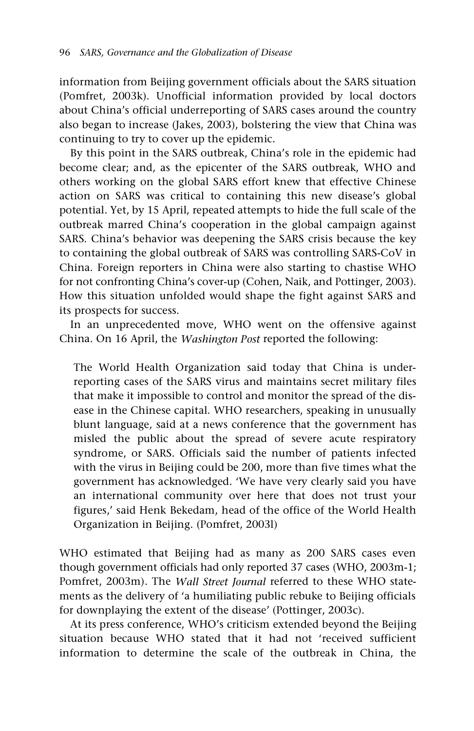information from Beijing government officials about the SARS situation (Pomfret, 2003k). Unofficial information provided by local doctors about China's official underreporting of SARS cases around the country also began to increase (Jakes, 2003), bolstering the view that China was continuing to try to cover up the epidemic.

By this point in the SARS outbreak, China's role in the epidemic had become clear; and, as the epicenter of the SARS outbreak, WHO and others working on the global SARS effort knew that effective Chinese action on SARS was critical to containing this new disease's global potential. Yet, by 15 April, repeated attempts to hide the full scale of the outbreak marred China's cooperation in the global campaign against SARS. China's behavior was deepening the SARS crisis because the key to containing the global outbreak of SARS was controlling SARS-CoV in China. Foreign reporters in China were also starting to chastise WHO for not confronting China's cover-up (Cohen, Naik, and Pottinger, 2003). How this situation unfolded would shape the fight against SARS and its prospects for success.

In an unprecedented move, WHO went on the offensive against China. On 16 April, the *Washington Post* reported the following:

The World Health Organization said today that China is underreporting cases of the SARS virus and maintains secret military files that make it impossible to control and monitor the spread of the disease in the Chinese capital. WHO researchers, speaking in unusually blunt language, said at a news conference that the government has misled the public about the spread of severe acute respiratory syndrome, or SARS. Officials said the number of patients infected with the virus in Beijing could be 200, more than five times what the government has acknowledged. 'We have very clearly said you have an international community over here that does not trust your figures,' said Henk Bekedam, head of the office of the World Health Organization in Beijing. (Pomfret, 2003l)

WHO estimated that Beijing had as many as 200 SARS cases even though government officials had only reported 37 cases (WHO, 2003m-1; Pomfret, 2003m). The *Wall Street Journal* referred to these WHO statements as the delivery of 'a humiliating public rebuke to Beijing officials for downplaying the extent of the disease' (Pottinger, 2003c).

At its press conference, WHO's criticism extended beyond the Beijing situation because WHO stated that it had not 'received sufficient information to determine the scale of the outbreak in China, the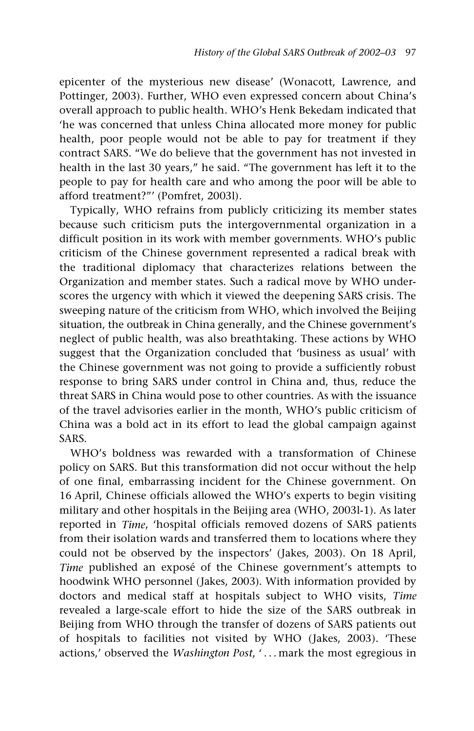epicenter of the mysterious new disease' (Wonacott, Lawrence, and Pottinger, 2003). Further, WHO even expressed concern about China's overall approach to public health. WHO's Henk Bekedam indicated that 'he was concerned that unless China allocated more money for public health, poor people would not be able to pay for treatment if they contract SARS. "We do believe that the government has not invested in health in the last 30 years," he said. "The government has left it to the people to pay for health care and who among the poor will be able to afford treatment?"' (Pomfret, 2003l).

Typically, WHO refrains from publicly criticizing its member states because such criticism puts the intergovernmental organization in a difficult position in its work with member governments. WHO's public criticism of the Chinese government represented a radical break with the traditional diplomacy that characterizes relations between the Organization and member states. Such a radical move by WHO underscores the urgency with which it viewed the deepening SARS crisis. The sweeping nature of the criticism from WHO, which involved the Beijing situation, the outbreak in China generally, and the Chinese government's neglect of public health, was also breathtaking. These actions by WHO suggest that the Organization concluded that 'business as usual' with the Chinese government was not going to provide a sufficiently robust response to bring SARS under control in China and, thus, reduce the threat SARS in China would pose to other countries. As with the issuance of the travel advisories earlier in the month, WHO's public criticism of China was a bold act in its effort to lead the global campaign against **SARS**.

WHO's boldness was rewarded with a transformation of Chinese policy on SARS. But this transformation did not occur without the help of one final, embarrassing incident for the Chinese government. On 16 April, Chinese officials allowed the WHO's experts to begin visiting military and other hospitals in the Beijing area (WHO, 2003l-1). As later reported in *Time*, 'hospital officials removed dozens of SARS patients from their isolation wards and transferred them to locations where they could not be observed by the inspectors' (Jakes, 2003). On 18 April, *Time* published an exposé of the Chinese government's attempts to hoodwink WHO personnel (Jakes, 2003). With information provided by doctors and medical staff at hospitals subject to WHO visits, *Time* revealed a large-scale effort to hide the size of the SARS outbreak in Beijing from WHO through the transfer of dozens of SARS patients out of hospitals to facilities not visited by WHO (Jakes, 2003). 'These actions,' observed the *Washington Post*, ' . . . mark the most egregious in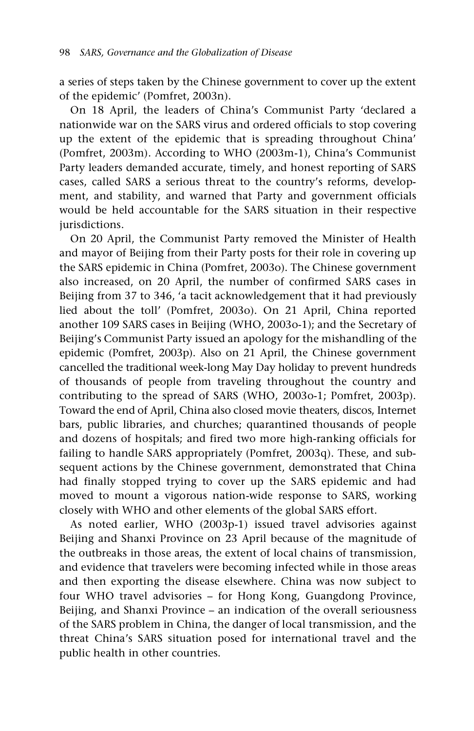a series of steps taken by the Chinese government to cover up the extent of the epidemic' (Pomfret, 2003n).

On 18 April, the leaders of China's Communist Party 'declared a nationwide war on the SARS virus and ordered officials to stop covering up the extent of the epidemic that is spreading throughout China' (Pomfret, 2003m). According to WHO (2003m-1), China's Communist Party leaders demanded accurate, timely, and honest reporting of SARS cases, called SARS a serious threat to the country's reforms, development, and stability, and warned that Party and government officials would be held accountable for the SARS situation in their respective jurisdictions.

On 20 April, the Communist Party removed the Minister of Health and mayor of Beijing from their Party posts for their role in covering up the SARS epidemic in China (Pomfret, 2003o). The Chinese government also increased, on 20 April, the number of confirmed SARS cases in Beijing from 37 to 346, 'a tacit acknowledgement that it had previously lied about the toll' (Pomfret, 2003o). On 21 April, China reported another 109 SARS cases in Beijing (WHO, 2003o-1); and the Secretary of Beijing's Communist Party issued an apology for the mishandling of the epidemic (Pomfret, 2003p). Also on 21 April, the Chinese government cancelled the traditional week-long May Day holiday to prevent hundreds of thousands of people from traveling throughout the country and contributing to the spread of SARS (WHO, 2003o-1; Pomfret, 2003p). Toward the end of April, China also closed movie theaters, discos, Internet bars, public libraries, and churches; quarantined thousands of people and dozens of hospitals; and fired two more high-ranking officials for failing to handle SARS appropriately (Pomfret, 2003q). These, and subsequent actions by the Chinese government, demonstrated that China had finally stopped trying to cover up the SARS epidemic and had moved to mount a vigorous nation-wide response to SARS, working closely with WHO and other elements of the global SARS effort.

As noted earlier, WHO (2003p-1) issued travel advisories against Beijing and Shanxi Province on 23 April because of the magnitude of the outbreaks in those areas, the extent of local chains of transmission, and evidence that travelers were becoming infected while in those areas and then exporting the disease elsewhere. China was now subject to four WHO travel advisories – for Hong Kong, Guangdong Province, Beijing, and Shanxi Province – an indication of the overall seriousness of the SARS problem in China, the danger of local transmission, and the threat China's SARS situation posed for international travel and the public health in other countries.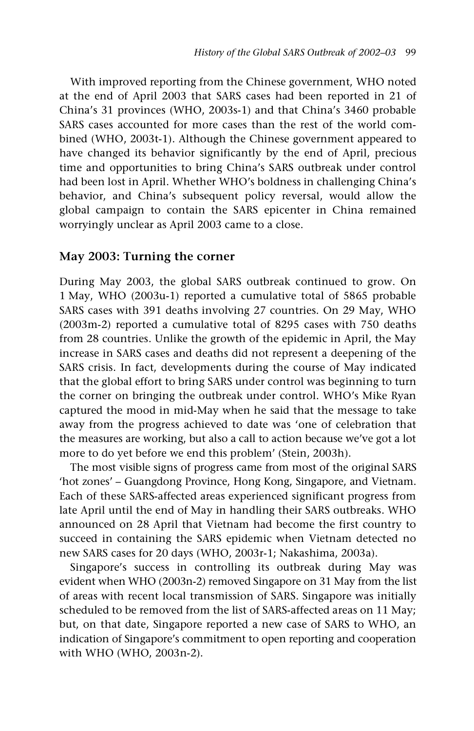With improved reporting from the Chinese government, WHO noted at the end of April 2003 that SARS cases had been reported in 21 of China's 31 provinces (WHO, 2003s-1) and that China's 3460 probable SARS cases accounted for more cases than the rest of the world combined (WHO, 2003t-1). Although the Chinese government appeared to have changed its behavior significantly by the end of April, precious time and opportunities to bring China's SARS outbreak under control had been lost in April. Whether WHO's boldness in challenging China's behavior, and China's subsequent policy reversal, would allow the global campaign to contain the SARS epicenter in China remained worryingly unclear as April 2003 came to a close.

#### **May 2003: Turning the corner**

During May 2003, the global SARS outbreak continued to grow. On 1 May, WHO (2003u-1) reported a cumulative total of 5865 probable SARS cases with 391 deaths involving 27 countries. On 29 May, WHO (2003m-2) reported a cumulative total of 8295 cases with 750 deaths from 28 countries. Unlike the growth of the epidemic in April, the May increase in SARS cases and deaths did not represent a deepening of the SARS crisis. In fact, developments during the course of May indicated that the global effort to bring SARS under control was beginning to turn the corner on bringing the outbreak under control. WHO's Mike Ryan captured the mood in mid-May when he said that the message to take away from the progress achieved to date was 'one of celebration that the measures are working, but also a call to action because we've got a lot more to do yet before we end this problem' (Stein, 2003h).

The most visible signs of progress came from most of the original SARS 'hot zones' – Guangdong Province, Hong Kong, Singapore, and Vietnam. Each of these SARS-affected areas experienced significant progress from late April until the end of May in handling their SARS outbreaks. WHO announced on 28 April that Vietnam had become the first country to succeed in containing the SARS epidemic when Vietnam detected no new SARS cases for 20 days (WHO, 2003r-1; Nakashima, 2003a).

Singapore's success in controlling its outbreak during May was evident when WHO (2003n-2) removed Singapore on 31 May from the list of areas with recent local transmission of SARS. Singapore was initially scheduled to be removed from the list of SARS-affected areas on 11 May; but, on that date, Singapore reported a new case of SARS to WHO, an indication of Singapore's commitment to open reporting and cooperation with WHO (WHO, 2003n-2).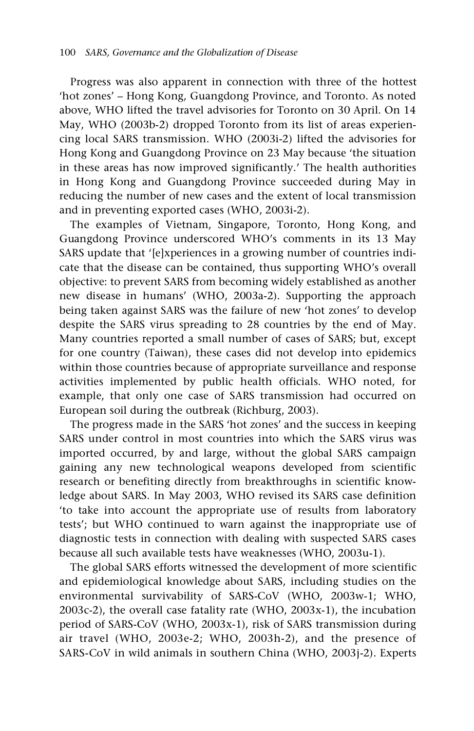Progress was also apparent in connection with three of the hottest 'hot zones' – Hong Kong, Guangdong Province, and Toronto. As noted above, WHO lifted the travel advisories for Toronto on 30 April. On 14 May, WHO (2003b-2) dropped Toronto from its list of areas experiencing local SARS transmission. WHO (2003i-2) lifted the advisories for Hong Kong and Guangdong Province on 23 May because 'the situation in these areas has now improved significantly.' The health authorities in Hong Kong and Guangdong Province succeeded during May in reducing the number of new cases and the extent of local transmission and in preventing exported cases (WHO, 2003i-2).

The examples of Vietnam, Singapore, Toronto, Hong Kong, and Guangdong Province underscored WHO's comments in its 13 May SARS update that '[e]xperiences in a growing number of countries indicate that the disease can be contained, thus supporting WHO's overall objective: to prevent SARS from becoming widely established as another new disease in humans' (WHO, 2003a-2). Supporting the approach being taken against SARS was the failure of new 'hot zones' to develop despite the SARS virus spreading to 28 countries by the end of May. Many countries reported a small number of cases of SARS; but, except for one country (Taiwan), these cases did not develop into epidemics within those countries because of appropriate surveillance and response activities implemented by public health officials. WHO noted, for example, that only one case of SARS transmission had occurred on European soil during the outbreak (Richburg, 2003).

The progress made in the SARS 'hot zones' and the success in keeping SARS under control in most countries into which the SARS virus was imported occurred, by and large, without the global SARS campaign gaining any new technological weapons developed from scientific research or benefiting directly from breakthroughs in scientific knowledge about SARS. In May 2003, WHO revised its SARS case definition 'to take into account the appropriate use of results from laboratory tests'; but WHO continued to warn against the inappropriate use of diagnostic tests in connection with dealing with suspected SARS cases because all such available tests have weaknesses (WHO, 2003u-1).

The global SARS efforts witnessed the development of more scientific and epidemiological knowledge about SARS, including studies on the environmental survivability of SARS-CoV (WHO, 2003w-1; WHO, 2003c-2), the overall case fatality rate (WHO, 2003x-1), the incubation period of SARS-CoV (WHO, 2003x-1), risk of SARS transmission during air travel (WHO, 2003e-2; WHO, 2003h-2), and the presence of SARS-CoV in wild animals in southern China (WHO, 2003j-2). Experts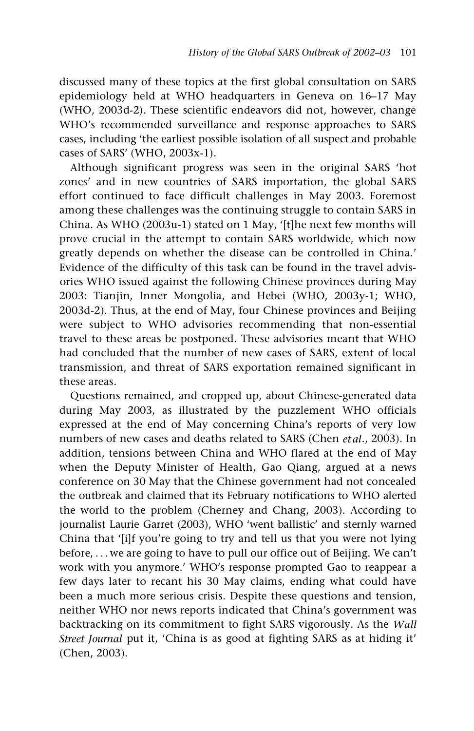discussed many of these topics at the first global consultation on SARS epidemiology held at WHO headquarters in Geneva on 16–17 May (WHO, 2003d-2). These scientific endeavors did not, however, change WHO's recommended surveillance and response approaches to SARS cases, including 'the earliest possible isolation of all suspect and probable cases of SARS' (WHO, 2003x-1).

Although significant progress was seen in the original SARS 'hot zones' and in new countries of SARS importation, the global SARS effort continued to face difficult challenges in May 2003. Foremost among these challenges was the continuing struggle to contain SARS in China. As WHO (2003u-1) stated on 1 May, '[t]he next few months will prove crucial in the attempt to contain SARS worldwide, which now greatly depends on whether the disease can be controlled in China.' Evidence of the difficulty of this task can be found in the travel advisories WHO issued against the following Chinese provinces during May 2003: Tianjin, Inner Mongolia, and Hebei (WHO, 2003y-1; WHO, 2003d-2). Thus, at the end of May, four Chinese provinces and Beijing were subject to WHO advisories recommending that non-essential travel to these areas be postponed. These advisories meant that WHO had concluded that the number of new cases of SARS, extent of local transmission, and threat of SARS exportation remained significant in these areas.

Questions remained, and cropped up, about Chinese-generated data during May 2003, as illustrated by the puzzlement WHO officials expressed at the end of May concerning China's reports of very low numbers of new cases and deaths related to SARS (Chen *et al*., 2003). In addition, tensions between China and WHO flared at the end of May when the Deputy Minister of Health, Gao Qiang, argued at a news conference on 30 May that the Chinese government had not concealed the outbreak and claimed that its February notifications to WHO alerted the world to the problem (Cherney and Chang, 2003). According to journalist Laurie Garret (2003), WHO 'went ballistic' and sternly warned China that '[i]f you're going to try and tell us that you were not lying before, . . . we are going to have to pull our office out of Beijing. We can't work with you anymore.' WHO's response prompted Gao to reappear a few days later to recant his 30 May claims, ending what could have been a much more serious crisis. Despite these questions and tension, neither WHO nor news reports indicated that China's government was backtracking on its commitment to fight SARS vigorously. As the *Wall Street Journal* put it, 'China is as good at fighting SARS as at hiding it' (Chen, 2003).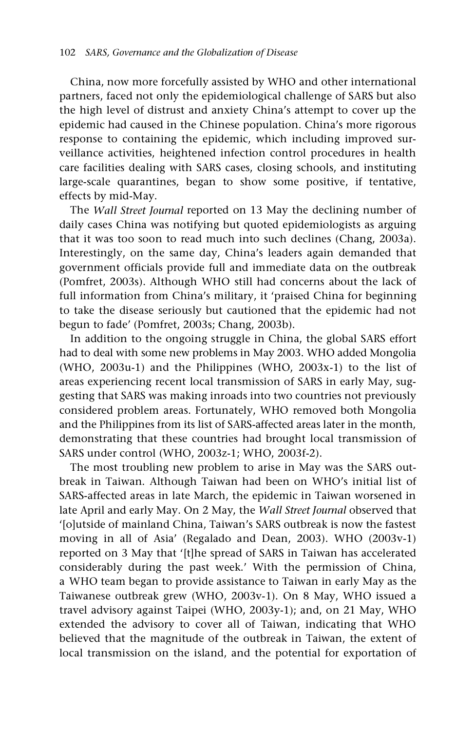China, now more forcefully assisted by WHO and other international partners, faced not only the epidemiological challenge of SARS but also the high level of distrust and anxiety China's attempt to cover up the epidemic had caused in the Chinese population. China's more rigorous response to containing the epidemic, which including improved surveillance activities, heightened infection control procedures in health care facilities dealing with SARS cases, closing schools, and instituting large-scale quarantines, began to show some positive, if tentative, effects by mid-May.

The *Wall Street Journal* reported on 13 May the declining number of daily cases China was notifying but quoted epidemiologists as arguing that it was too soon to read much into such declines (Chang, 2003a). Interestingly, on the same day, China's leaders again demanded that government officials provide full and immediate data on the outbreak (Pomfret, 2003s). Although WHO still had concerns about the lack of full information from China's military, it 'praised China for beginning to take the disease seriously but cautioned that the epidemic had not begun to fade' (Pomfret, 2003s; Chang, 2003b).

In addition to the ongoing struggle in China, the global SARS effort had to deal with some new problems in May 2003. WHO added Mongolia (WHO, 2003u-1) and the Philippines (WHO, 2003x-1) to the list of areas experiencing recent local transmission of SARS in early May, suggesting that SARS was making inroads into two countries not previously considered problem areas. Fortunately, WHO removed both Mongolia and the Philippines from its list of SARS-affected areas later in the month, demonstrating that these countries had brought local transmission of SARS under control (WHO, 2003z-1; WHO, 2003f-2).

The most troubling new problem to arise in May was the SARS outbreak in Taiwan. Although Taiwan had been on WHO's initial list of SARS-affected areas in late March, the epidemic in Taiwan worsened in late April and early May. On 2 May, the *Wall Street Journal* observed that '[o]utside of mainland China, Taiwan's SARS outbreak is now the fastest moving in all of Asia' (Regalado and Dean, 2003). WHO (2003v-1) reported on 3 May that '[t]he spread of SARS in Taiwan has accelerated considerably during the past week.' With the permission of China, a WHO team began to provide assistance to Taiwan in early May as the Taiwanese outbreak grew (WHO, 2003v-1). On 8 May, WHO issued a travel advisory against Taipei (WHO, 2003y-1); and, on 21 May, WHO extended the advisory to cover all of Taiwan, indicating that WHO believed that the magnitude of the outbreak in Taiwan, the extent of local transmission on the island, and the potential for exportation of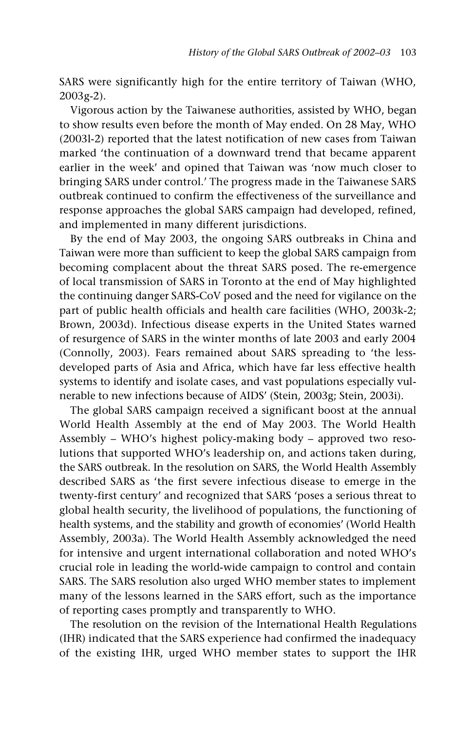SARS were significantly high for the entire territory of Taiwan (WHO, 2003g-2).

Vigorous action by the Taiwanese authorities, assisted by WHO, began to show results even before the month of May ended. On 28 May, WHO (2003l-2) reported that the latest notification of new cases from Taiwan marked 'the continuation of a downward trend that became apparent earlier in the week' and opined that Taiwan was 'now much closer to bringing SARS under control.' The progress made in the Taiwanese SARS outbreak continued to confirm the effectiveness of the surveillance and response approaches the global SARS campaign had developed, refined, and implemented in many different jurisdictions.

By the end of May 2003, the ongoing SARS outbreaks in China and Taiwan were more than sufficient to keep the global SARS campaign from becoming complacent about the threat SARS posed. The re-emergence of local transmission of SARS in Toronto at the end of May highlighted the continuing danger SARS-CoV posed and the need for vigilance on the part of public health officials and health care facilities (WHO, 2003k-2; Brown, 2003d). Infectious disease experts in the United States warned of resurgence of SARS in the winter months of late 2003 and early 2004 (Connolly, 2003). Fears remained about SARS spreading to 'the lessdeveloped parts of Asia and Africa, which have far less effective health systems to identify and isolate cases, and vast populations especially vulnerable to new infections because of AIDS' (Stein, 2003g; Stein, 2003i).

The global SARS campaign received a significant boost at the annual World Health Assembly at the end of May 2003. The World Health Assembly – WHO's highest policy-making body – approved two resolutions that supported WHO's leadership on, and actions taken during, the SARS outbreak. In the resolution on SARS, the World Health Assembly described SARS as 'the first severe infectious disease to emerge in the twenty-first century' and recognized that SARS 'poses a serious threat to global health security, the livelihood of populations, the functioning of health systems, and the stability and growth of economies' (World Health Assembly, 2003a). The World Health Assembly acknowledged the need for intensive and urgent international collaboration and noted WHO's crucial role in leading the world-wide campaign to control and contain SARS. The SARS resolution also urged WHO member states to implement many of the lessons learned in the SARS effort, such as the importance of reporting cases promptly and transparently to WHO.

The resolution on the revision of the International Health Regulations (IHR) indicated that the SARS experience had confirmed the inadequacy of the existing IHR, urged WHO member states to support the IHR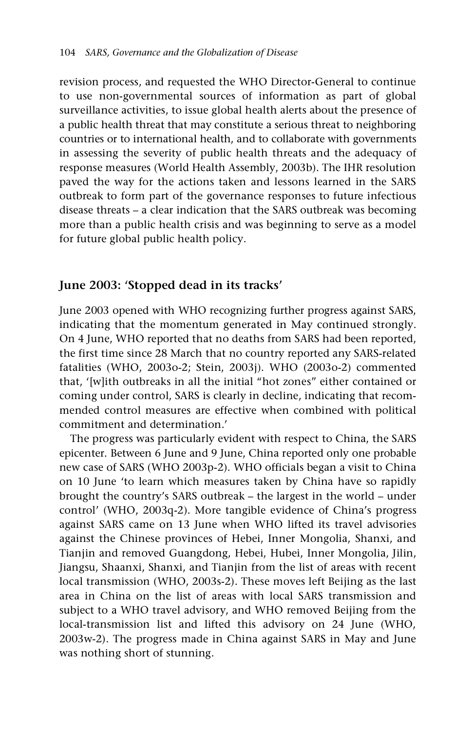revision process, and requested the WHO Director-General to continue to use non-governmental sources of information as part of global surveillance activities, to issue global health alerts about the presence of a public health threat that may constitute a serious threat to neighboring countries or to international health, and to collaborate with governments in assessing the severity of public health threats and the adequacy of response measures (World Health Assembly, 2003b). The IHR resolution paved the way for the actions taken and lessons learned in the SARS outbreak to form part of the governance responses to future infectious disease threats – a clear indication that the SARS outbreak was becoming more than a public health crisis and was beginning to serve as a model for future global public health policy.

# **June 2003: 'Stopped dead in its tracks'**

June 2003 opened with WHO recognizing further progress against SARS, indicating that the momentum generated in May continued strongly. On 4 June, WHO reported that no deaths from SARS had been reported, the first time since 28 March that no country reported any SARS-related fatalities (WHO, 2003o-2; Stein, 2003j). WHO (2003o-2) commented that, '[w]ith outbreaks in all the initial "hot zones" either contained or coming under control, SARS is clearly in decline, indicating that recommended control measures are effective when combined with political commitment and determination.'

The progress was particularly evident with respect to China, the SARS epicenter. Between 6 June and 9 June, China reported only one probable new case of SARS (WHO 2003p-2). WHO officials began a visit to China on 10 June 'to learn which measures taken by China have so rapidly brought the country's SARS outbreak – the largest in the world – under control' (WHO, 2003q-2). More tangible evidence of China's progress against SARS came on 13 June when WHO lifted its travel advisories against the Chinese provinces of Hebei, Inner Mongolia, Shanxi, and Tianjin and removed Guangdong, Hebei, Hubei, Inner Mongolia, Jilin, Jiangsu, Shaanxi, Shanxi, and Tianjin from the list of areas with recent local transmission (WHO, 2003s-2). These moves left Beijing as the last area in China on the list of areas with local SARS transmission and subject to a WHO travel advisory, and WHO removed Beijing from the local-transmission list and lifted this advisory on 24 June (WHO, 2003w-2). The progress made in China against SARS in May and June was nothing short of stunning.